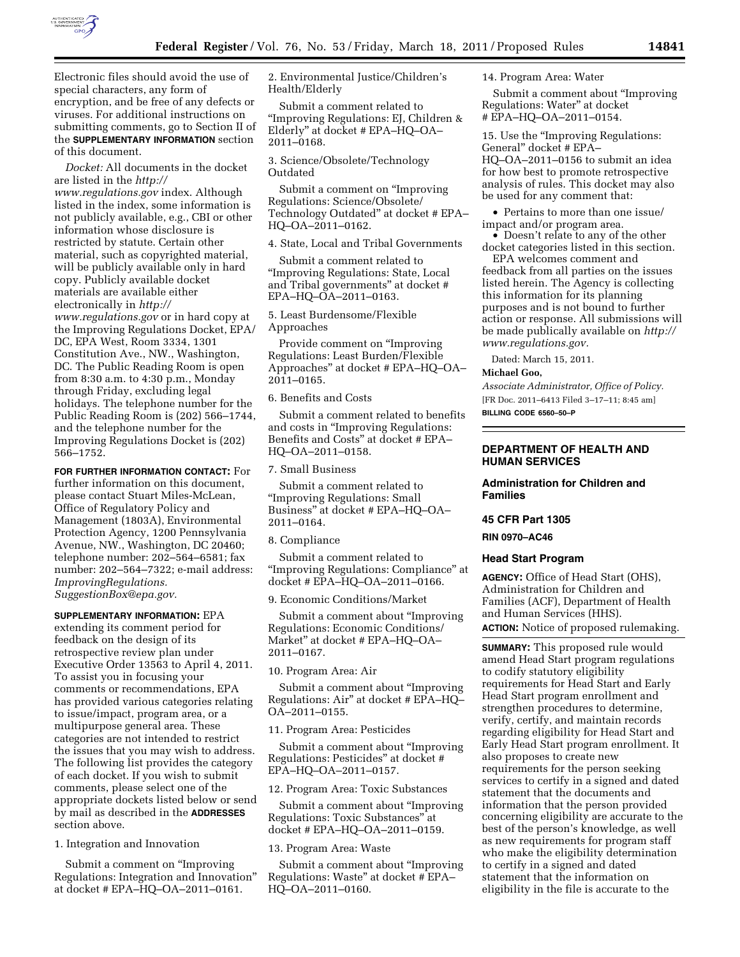

Electronic files should avoid the use of special characters, any form of encryption, and be free of any defects or viruses. For additional instructions on submitting comments, go to Section II of the **SUPPLEMENTARY INFORMATION** section of this document.

*Docket:* All documents in the docket are listed in the *[http://](http://www.regulations.gov) [www.regulations.gov](http://www.regulations.gov)* index. Although listed in the index, some information is not publicly available, e.g., CBI or other information whose disclosure is restricted by statute. Certain other material, such as copyrighted material, will be publicly available only in hard copy. Publicly available docket materials are available either electronically in *[http://](http://www.regulations.gov) [www.regulations.gov](http://www.regulations.gov)* or in hard copy at the Improving Regulations Docket, EPA/ DC, EPA West, Room 3334, 1301 Constitution Ave., NW., Washington, DC. The Public Reading Room is open from 8:30 a.m. to 4:30 p.m., Monday through Friday, excluding legal holidays. The telephone number for the Public Reading Room is (202) 566–1744, and the telephone number for the Improving Regulations Docket is (202) 566–1752.

**FOR FURTHER INFORMATION CONTACT:** For further information on this document, please contact Stuart Miles-McLean, Office of Regulatory Policy and Management (1803A), Environmental Protection Agency, 1200 Pennsylvania Avenue, NW., Washington, DC 20460; telephone number: 202–564–6581; fax number: 202–564–7322; e-mail address: *ImprovingRegulations. SuggestionBox@epa.gov.* 

**SUPPLEMENTARY INFORMATION:** EPA extending its comment period for feedback on the design of its retrospective review plan under Executive Order 13563 to April 4, 2011. To assist you in focusing your comments or recommendations, EPA has provided various categories relating to issue/impact, program area, or a multipurpose general area. These categories are not intended to restrict the issues that you may wish to address. The following list provides the category of each docket. If you wish to submit comments, please select one of the appropriate dockets listed below or send by mail as described in the **ADDRESSES** section above.

1. Integration and Innovation

Submit a comment on ''Improving Regulations: Integration and Innovation'' at docket # EPA–HQ–OA–2011–0161.

2. Environmental Justice/Children's Health/Elderly

Submit a comment related to ''Improving Regulations: EJ, Children & Elderly'' at docket # EPA–HQ–OA– 2011–0168.

3. Science/Obsolete/Technology Outdated

Submit a comment on ''Improving Regulations: Science/Obsolete/ Technology Outdated'' at docket # EPA– HQ–OA–2011–0162.

4. State, Local and Tribal Governments

Submit a comment related to ''Improving Regulations: State, Local and Tribal governments'' at docket # EPA–HQ–OA–2011–0163.

5. Least Burdensome/Flexible Approaches

Provide comment on ''Improving Regulations: Least Burden/Flexible Approaches'' at docket # EPA–HQ–OA– 2011–0165.

6. Benefits and Costs

Submit a comment related to benefits and costs in ''Improving Regulations: Benefits and Costs'' at docket # EPA– HQ–OA–2011–0158.

7. Small Business

Submit a comment related to ''Improving Regulations: Small Business'' at docket # EPA–HQ–OA– 2011–0164.

8. Compliance

Submit a comment related to ''Improving Regulations: Compliance'' at docket # EPA–HQ–OA–2011–0166.

9. Economic Conditions/Market

Submit a comment about ''Improving Regulations: Economic Conditions/ Market'' at docket # EPA–HQ–OA– 2011–0167.

10. Program Area: Air

Submit a comment about ''Improving Regulations: Air'' at docket # EPA–HQ– OA–2011–0155.

11. Program Area: Pesticides

Submit a comment about ''Improving Regulations: Pesticides'' at docket # EPA–HQ–OA–2011–0157.

12. Program Area: Toxic Substances

Submit a comment about ''Improving Regulations: Toxic Substances'' at docket # EPA–HQ–OA–2011–0159.

13. Program Area: Waste

Submit a comment about ''Improving Regulations: Waste'' at docket # EPA– HQ–OA–2011–0160.

14. Program Area: Water

Submit a comment about ''Improving Regulations: Water'' at docket # EPA–HQ–OA–2011–0154.

15. Use the ''Improving Regulations: General'' docket # EPA– HQ–OA–2011–0156 to submit an idea for how best to promote retrospective analysis of rules. This docket may also be used for any comment that:

• Pertains to more than one issue/ impact and/or program area.

• Doesn't relate to any of the other docket categories listed in this section.

EPA welcomes comment and feedback from all parties on the issues listed herein. The Agency is collecting this information for its planning purposes and is not bound to further action or response. All submissions will be made publically available on *[http://](http://www.regulations.gov) [www.regulations.gov.](http://www.regulations.gov)* 

Dated: March 15, 2011.

### **Michael Goo,**

*Associate Administrator, Office of Policy.*  [FR Doc. 2011–6413 Filed 3–17–11; 8:45 am] **BILLING CODE 6560–50–P** 

## **DEPARTMENT OF HEALTH AND HUMAN SERVICES**

# **Administration for Children and Families**

#### **45 CFR Part 1305**

**RIN 0970–AC46** 

### **Head Start Program**

**AGENCY:** Office of Head Start (OHS), Administration for Children and Families (ACF), Department of Health and Human Services (HHS). **ACTION:** Notice of proposed rulemaking.

**SUMMARY:** This proposed rule would amend Head Start program regulations to codify statutory eligibility requirements for Head Start and Early Head Start program enrollment and strengthen procedures to determine, verify, certify, and maintain records regarding eligibility for Head Start and Early Head Start program enrollment. It also proposes to create new requirements for the person seeking services to certify in a signed and dated statement that the documents and information that the person provided concerning eligibility are accurate to the best of the person's knowledge, as well as new requirements for program staff who make the eligibility determination to certify in a signed and dated statement that the information on eligibility in the file is accurate to the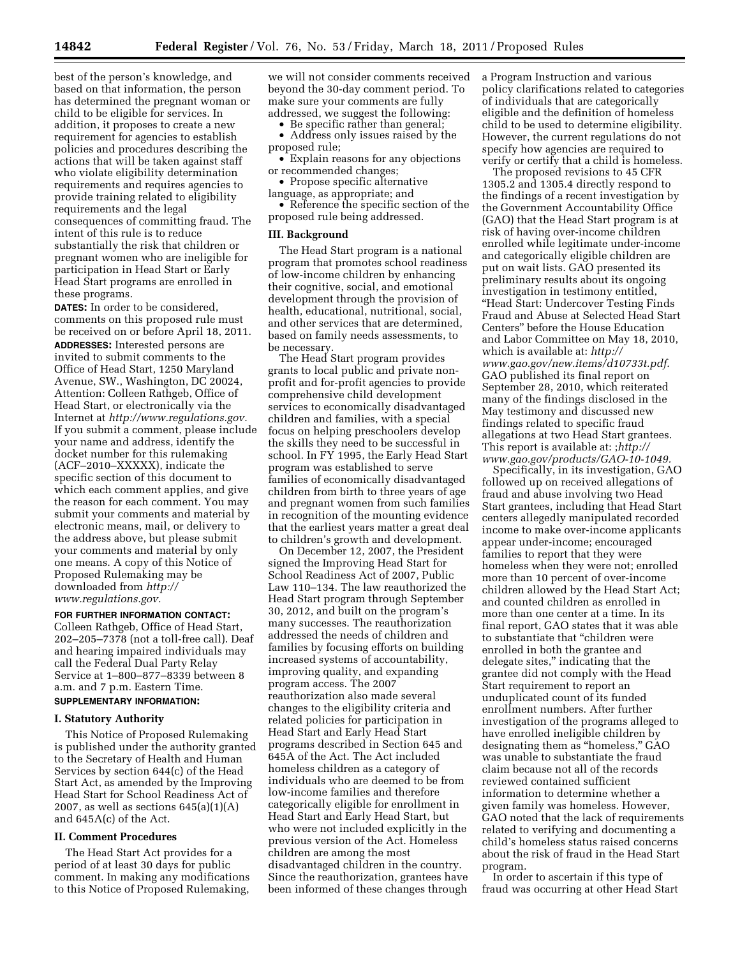best of the person's knowledge, and based on that information, the person has determined the pregnant woman or child to be eligible for services. In addition, it proposes to create a new requirement for agencies to establish policies and procedures describing the actions that will be taken against staff who violate eligibility determination requirements and requires agencies to provide training related to eligibility requirements and the legal consequences of committing fraud. The intent of this rule is to reduce substantially the risk that children or pregnant women who are ineligible for participation in Head Start or Early Head Start programs are enrolled in these programs.

**DATES:** In order to be considered, comments on this proposed rule must be received on or before April 18, 2011. **ADDRESSES:** Interested persons are invited to submit comments to the Office of Head Start, 1250 Maryland Avenue, SW., Washington, DC 20024, Attention: Colleen Rathgeb, Office of Head Start, or electronically via the Internet at *[http://www.regulations.gov.](http://www.regulations.gov)*  If you submit a comment, please include your name and address, identify the docket number for this rulemaking (ACF–2010–XXXXX), indicate the specific section of this document to which each comment applies, and give the reason for each comment. You may submit your comments and material by electronic means, mail, or delivery to the address above, but please submit your comments and material by only one means. A copy of this Notice of Proposed Rulemaking may be downloaded from *[http://](http://www.regulations.gov) [www.regulations.gov.](http://www.regulations.gov)* 

## **FOR FURTHER INFORMATION CONTACT:**

Colleen Rathgeb, Office of Head Start, 202–205–7378 (not a toll-free call). Deaf and hearing impaired individuals may call the Federal Dual Party Relay Service at 1–800–877–8339 between 8 a.m. and 7 p.m. Eastern Time. **SUPPLEMENTARY INFORMATION:** 

#### **I. Statutory Authority**

This Notice of Proposed Rulemaking is published under the authority granted to the Secretary of Health and Human Services by section 644(c) of the Head Start Act, as amended by the Improving Head Start for School Readiness Act of 2007, as well as sections  $645(a)(1)(A)$ and 645A(c) of the Act.

### **II. Comment Procedures**

The Head Start Act provides for a period of at least 30 days for public comment. In making any modifications to this Notice of Proposed Rulemaking,

we will not consider comments received beyond the 30-day comment period. To make sure your comments are fully addressed, we suggest the following:

• Be specific rather than general;

• Address only issues raised by the proposed rule;

• Explain reasons for any objections or recommended changes;

• Propose specific alternative

language, as appropriate; and • Reference the specific section of the

proposed rule being addressed.

### **III. Background**

The Head Start program is a national program that promotes school readiness of low-income children by enhancing their cognitive, social, and emotional development through the provision of health, educational, nutritional, social, and other services that are determined, based on family needs assessments, to be necessary.

The Head Start program provides grants to local public and private nonprofit and for-profit agencies to provide comprehensive child development services to economically disadvantaged children and families, with a special focus on helping preschoolers develop the skills they need to be successful in school. In FY 1995, the Early Head Start program was established to serve families of economically disadvantaged children from birth to three years of age and pregnant women from such families in recognition of the mounting evidence that the earliest years matter a great deal to children's growth and development.

On December 12, 2007, the President signed the Improving Head Start for School Readiness Act of 2007, Public Law 110–134. The law reauthorized the Head Start program through September 30, 2012, and built on the program's many successes. The reauthorization addressed the needs of children and families by focusing efforts on building increased systems of accountability, improving quality, and expanding program access. The 2007 reauthorization also made several changes to the eligibility criteria and related policies for participation in Head Start and Early Head Start programs described in Section 645 and 645A of the Act. The Act included homeless children as a category of individuals who are deemed to be from low-income families and therefore categorically eligible for enrollment in Head Start and Early Head Start, but who were not included explicitly in the previous version of the Act. Homeless children are among the most disadvantaged children in the country. Since the reauthorization, grantees have been informed of these changes through a Program Instruction and various policy clarifications related to categories of individuals that are categorically eligible and the definition of homeless child to be used to determine eligibility. However, the current regulations do not specify how agencies are required to verify or certify that a child is homeless.

The proposed revisions to 45 CFR 1305.2 and 1305.4 directly respond to the findings of a recent investigation by the Government Accountability Office (GAO) that the Head Start program is at risk of having over-income children enrolled while legitimate under-income and categorically eligible children are put on wait lists. GAO presented its preliminary results about its ongoing investigation in testimony entitled, ''Head Start: Undercover Testing Finds Fraud and Abuse at Selected Head Start Centers'' before the House Education and Labor Committee on May 18, 2010, which is available at: *[http://](http://www.gao.gov/new.items/d10733t.pdf) [www.gao.gov/new.items/d10733t.pdf.](http://www.gao.gov/new.items/d10733t.pdf)*  GAO published its final report on September 28, 2010, which reiterated many of the findings disclosed in the May testimony and discussed new findings related to specific fraud allegations at two Head Start grantees. This report is available at: ;*[http://](http://www.gao.gov/products/GAO-10-1049)  [www.gao.gov/products/GAO-10-1049.](http://www.gao.gov/products/GAO-10-1049)* 

Specifically, in its investigation, GAO followed up on received allegations of fraud and abuse involving two Head Start grantees, including that Head Start centers allegedly manipulated recorded income to make over-income applicants appear under-income; encouraged families to report that they were homeless when they were not; enrolled more than 10 percent of over-income children allowed by the Head Start Act; and counted children as enrolled in more than one center at a time. In its final report, GAO states that it was able to substantiate that ''children were enrolled in both the grantee and delegate sites,'' indicating that the grantee did not comply with the Head Start requirement to report an unduplicated count of its funded enrollment numbers. After further investigation of the programs alleged to have enrolled ineligible children by designating them as ''homeless,'' GAO was unable to substantiate the fraud claim because not all of the records reviewed contained sufficient information to determine whether a given family was homeless. However, GAO noted that the lack of requirements related to verifying and documenting a child's homeless status raised concerns about the risk of fraud in the Head Start program.

In order to ascertain if this type of fraud was occurring at other Head Start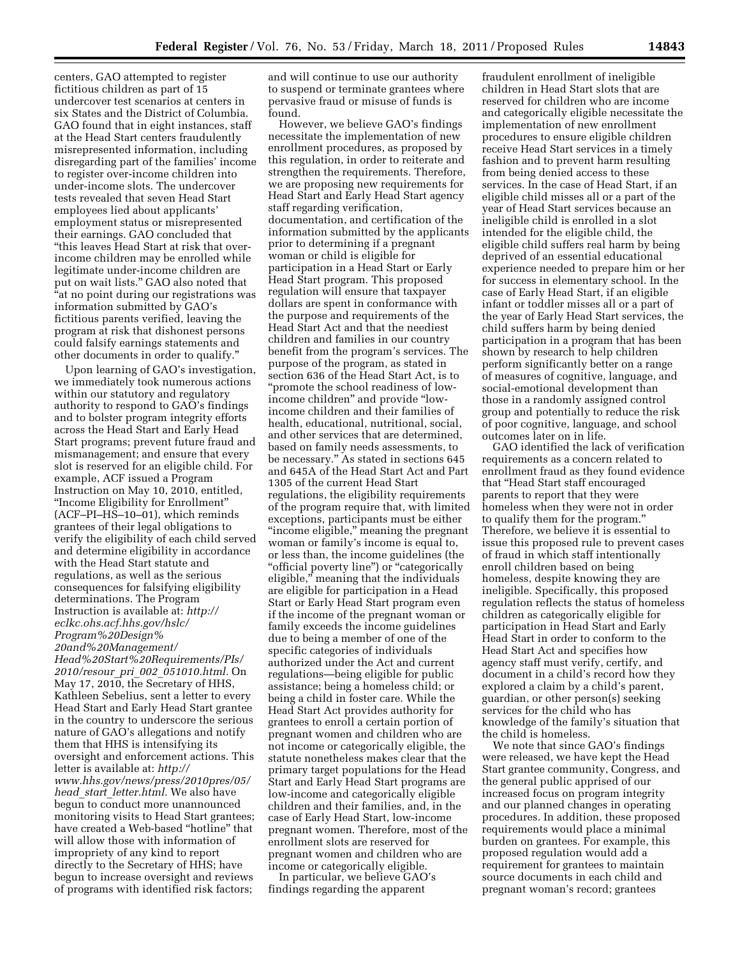centers, GAO attempted to register fictitious children as part of 15 undercover test scenarios at centers in six States and the District of Columbia. GAO found that in eight instances, staff at the Head Start centers fraudulently misrepresented information, including disregarding part of the families' income to register over-income children into under-income slots. The undercover tests revealed that seven Head Start employees lied about applicants' employment status or misrepresented their earnings. GAO concluded that ''this leaves Head Start at risk that overincome children may be enrolled while legitimate under-income children are put on wait lists.'' GAO also noted that "at no point during our registrations was information submitted by GAO's fictitious parents verified, leaving the program at risk that dishonest persons could falsify earnings statements and other documents in order to qualify.''

Upon learning of GAO's investigation, we immediately took numerous actions within our statutory and regulatory authority to respond to GAO's findings and to bolster program integrity efforts across the Head Start and Early Head Start programs; prevent future fraud and mismanagement; and ensure that every slot is reserved for an eligible child. For example, ACF issued a Program Instruction on May 10, 2010, entitled, ''Income Eligibility for Enrollment'' (ACF–PI–HS–10–01), which reminds grantees of their legal obligations to verify the eligibility of each child served and determine eligibility in accordance with the Head Start statute and regulations, as well as the serious consequences for falsifying eligibility determinations. The Program Instruction is available at: *[http://](http://eclkc.ohs.acf.hhs.gov/hslc/Program%20Design%20and%20Management/Head%20Start%20Requirements/PIs/2010/resour_pri_002_051010.html)  [eclkc.ohs.acf.hhs.gov/hslc/](http://eclkc.ohs.acf.hhs.gov/hslc/Program%20Design%20and%20Management/Head%20Start%20Requirements/PIs/2010/resour_pri_002_051010.html) [Program%20Design%](http://eclkc.ohs.acf.hhs.gov/hslc/Program%20Design%20and%20Management/Head%20Start%20Requirements/PIs/2010/resour_pri_002_051010.html) [20and%20Management/](http://eclkc.ohs.acf.hhs.gov/hslc/Program%20Design%20and%20Management/Head%20Start%20Requirements/PIs/2010/resour_pri_002_051010.html) [Head%20Start%20Requirements/PIs/](http://eclkc.ohs.acf.hhs.gov/hslc/Program%20Design%20and%20Management/Head%20Start%20Requirements/PIs/2010/resour_pri_002_051010.html) 2010/resour*\_*pri*\_*002*\_*[051010.html.](http://eclkc.ohs.acf.hhs.gov/hslc/Program%20Design%20and%20Management/Head%20Start%20Requirements/PIs/2010/resour_pri_002_051010.html)* On May 17, 2010, the Secretary of HHS, Kathleen Sebelius, sent a letter to every Head Start and Early Head Start grantee in the country to underscore the serious nature of GAO's allegations and notify them that HHS is intensifying its oversight and enforcement actions. This letter is available at: *[http://](http://www.hhs.gov/news/press/2010pres/05/head_start_letter.html)  [www.hhs.gov/news/press/2010pres/05/](http://www.hhs.gov/news/press/2010pres/05/head_start_letter.html) head*\_*start*\_*[letter.html.](http://www.hhs.gov/news/press/2010pres/05/head_start_letter.html)* We also have begun to conduct more unannounced monitoring visits to Head Start grantees; have created a Web-based ''hotline'' that will allow those with information of impropriety of any kind to report directly to the Secretary of HHS; have begun to increase oversight and reviews of programs with identified risk factors;

and will continue to use our authority to suspend or terminate grantees where pervasive fraud or misuse of funds is found.

However, we believe GAO's findings necessitate the implementation of new enrollment procedures, as proposed by this regulation, in order to reiterate and strengthen the requirements. Therefore, we are proposing new requirements for Head Start and Early Head Start agency staff regarding verification, documentation, and certification of the information submitted by the applicants prior to determining if a pregnant woman or child is eligible for participation in a Head Start or Early Head Start program. This proposed regulation will ensure that taxpayer dollars are spent in conformance with the purpose and requirements of the Head Start Act and that the neediest children and families in our country benefit from the program's services. The purpose of the program, as stated in section 636 of the Head Start Act, is to ''promote the school readiness of lowincome children'' and provide ''lowincome children and their families of health, educational, nutritional, social, and other services that are determined, based on family needs assessments, to be necessary.'' As stated in sections 645 and 645A of the Head Start Act and Part 1305 of the current Head Start regulations, the eligibility requirements of the program require that, with limited exceptions, participants must be either ''income eligible,'' meaning the pregnant woman or family's income is equal to, or less than, the income guidelines (the ''official poverty line'') or ''categorically eligible,'' meaning that the individuals are eligible for participation in a Head Start or Early Head Start program even if the income of the pregnant woman or family exceeds the income guidelines due to being a member of one of the specific categories of individuals authorized under the Act and current regulations—being eligible for public assistance; being a homeless child; or being a child in foster care. While the Head Start Act provides authority for grantees to enroll a certain portion of pregnant women and children who are not income or categorically eligible, the statute nonetheless makes clear that the primary target populations for the Head Start and Early Head Start programs are low-income and categorically eligible children and their families, and, in the case of Early Head Start, low-income pregnant women. Therefore, most of the enrollment slots are reserved for pregnant women and children who are income or categorically eligible.

In particular, we believe GAO's findings regarding the apparent

fraudulent enrollment of ineligible children in Head Start slots that are reserved for children who are income and categorically eligible necessitate the implementation of new enrollment procedures to ensure eligible children receive Head Start services in a timely fashion and to prevent harm resulting from being denied access to these services. In the case of Head Start, if an eligible child misses all or a part of the year of Head Start services because an ineligible child is enrolled in a slot intended for the eligible child, the eligible child suffers real harm by being deprived of an essential educational experience needed to prepare him or her for success in elementary school. In the case of Early Head Start, if an eligible infant or toddler misses all or a part of the year of Early Head Start services, the child suffers harm by being denied participation in a program that has been shown by research to help children perform significantly better on a range of measures of cognitive, language, and social-emotional development than those in a randomly assigned control group and potentially to reduce the risk of poor cognitive, language, and school outcomes later on in life.

GAO identified the lack of verification requirements as a concern related to enrollment fraud as they found evidence that ''Head Start staff encouraged parents to report that they were homeless when they were not in order to qualify them for the program.'' Therefore, we believe it is essential to issue this proposed rule to prevent cases of fraud in which staff intentionally enroll children based on being homeless, despite knowing they are ineligible. Specifically, this proposed regulation reflects the status of homeless children as categorically eligible for participation in Head Start and Early Head Start in order to conform to the Head Start Act and specifies how agency staff must verify, certify, and document in a child's record how they explored a claim by a child's parent, guardian, or other person(s) seeking services for the child who has knowledge of the family's situation that the child is homeless.

We note that since GAO's findings were released, we have kept the Head Start grantee community, Congress, and the general public apprised of our increased focus on program integrity and our planned changes in operating procedures. In addition, these proposed requirements would place a minimal burden on grantees. For example, this proposed regulation would add a requirement for grantees to maintain source documents in each child and pregnant woman's record; grantees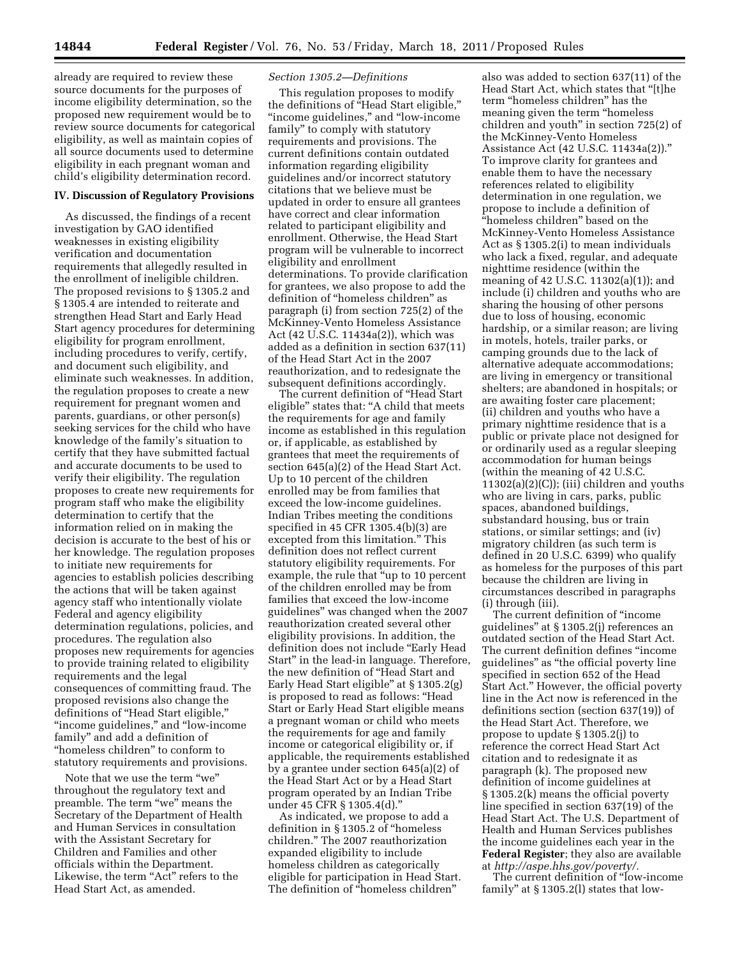already are required to review these source documents for the purposes of income eligibility determination, so the proposed new requirement would be to review source documents for categorical eligibility, as well as maintain copies of all source documents used to determine eligibility in each pregnant woman and child's eligibility determination record.

### **IV. Discussion of Regulatory Provisions**

As discussed, the findings of a recent investigation by GAO identified weaknesses in existing eligibility verification and documentation requirements that allegedly resulted in the enrollment of ineligible children. The proposed revisions to § 1305.2 and § 1305.4 are intended to reiterate and strengthen Head Start and Early Head Start agency procedures for determining eligibility for program enrollment, including procedures to verify, certify, and document such eligibility, and eliminate such weaknesses. In addition, the regulation proposes to create a new requirement for pregnant women and parents, guardians, or other person(s) seeking services for the child who have knowledge of the family's situation to certify that they have submitted factual and accurate documents to be used to verify their eligibility. The regulation proposes to create new requirements for program staff who make the eligibility determination to certify that the information relied on in making the decision is accurate to the best of his or her knowledge. The regulation proposes to initiate new requirements for agencies to establish policies describing the actions that will be taken against agency staff who intentionally violate Federal and agency eligibility determination regulations, policies, and procedures. The regulation also proposes new requirements for agencies to provide training related to eligibility requirements and the legal consequences of committing fraud. The proposed revisions also change the definitions of ''Head Start eligible,'' "income guidelines," and "low-income family'' and add a definition of ''homeless children'' to conform to statutory requirements and provisions.

Note that we use the term "we" throughout the regulatory text and preamble. The term "we" means the Secretary of the Department of Health and Human Services in consultation with the Assistant Secretary for Children and Families and other officials within the Department. Likewise, the term "Act" refers to the Head Start Act, as amended.

### *Section 1305.2—Definitions*

This regulation proposes to modify the definitions of "Head Start eligible," ''income guidelines,'' and ''low-income family'' to comply with statutory requirements and provisions. The current definitions contain outdated information regarding eligibility guidelines and/or incorrect statutory citations that we believe must be updated in order to ensure all grantees have correct and clear information related to participant eligibility and enrollment. Otherwise, the Head Start program will be vulnerable to incorrect eligibility and enrollment determinations. To provide clarification for grantees, we also propose to add the definition of ''homeless children'' as paragraph (i) from section 725(2) of the McKinney-Vento Homeless Assistance Act (42 U.S.C. 11434a(2)), which was added as a definition in section 637(11) of the Head Start Act in the 2007 reauthorization, and to redesignate the subsequent definitions accordingly.

The current definition of ''Head Start eligible'' states that: ''A child that meets the requirements for age and family income as established in this regulation or, if applicable, as established by grantees that meet the requirements of section 645(a)(2) of the Head Start Act. Up to 10 percent of the children enrolled may be from families that exceed the low-income guidelines. Indian Tribes meeting the conditions specified in 45 CFR 1305.4(b)(3) are excepted from this limitation.'' This definition does not reflect current statutory eligibility requirements. For example, the rule that ''up to 10 percent of the children enrolled may be from families that exceed the low-income guidelines'' was changed when the 2007 reauthorization created several other eligibility provisions. In addition, the definition does not include ''Early Head Start'' in the lead-in language. Therefore, the new definition of ''Head Start and Early Head Start eligible'' at § 1305.2(g) is proposed to read as follows: ''Head Start or Early Head Start eligible means a pregnant woman or child who meets the requirements for age and family income or categorical eligibility or, if applicable, the requirements established by a grantee under section 645(a)(2) of the Head Start Act or by a Head Start program operated by an Indian Tribe under 45 CFR § 1305.4(d).''

As indicated, we propose to add a definition in § 1305.2 of ''homeless children.'' The 2007 reauthorization expanded eligibility to include homeless children as categorically eligible for participation in Head Start. The definition of ''homeless children''

also was added to section 637(11) of the Head Start Act, which states that ''[t]he term "homeless children" has the meaning given the term ''homeless children and youth'' in section 725(2) of the McKinney-Vento Homeless Assistance Act (42 U.S.C. 11434a(2)).'' To improve clarity for grantees and enable them to have the necessary references related to eligibility determination in one regulation, we propose to include a definition of "homeless children" based on the McKinney-Vento Homeless Assistance Act as § 1305.2(i) to mean individuals who lack a fixed, regular, and adequate nighttime residence (within the meaning of 42 U.S.C. 11302(a)(1)); and include (i) children and youths who are sharing the housing of other persons due to loss of housing, economic hardship, or a similar reason; are living in motels, hotels, trailer parks, or camping grounds due to the lack of alternative adequate accommodations; are living in emergency or transitional shelters; are abandoned in hospitals; or are awaiting foster care placement; (ii) children and youths who have a primary nighttime residence that is a public or private place not designed for or ordinarily used as a regular sleeping accommodation for human beings (within the meaning of 42 U.S.C.  $11302(a)(2)(C)$ ; (iii) children and youths who are living in cars, parks, public spaces, abandoned buildings, substandard housing, bus or train stations, or similar settings; and (iv) migratory children (as such term is defined in 20 U.S.C. 6399) who qualify as homeless for the purposes of this part because the children are living in circumstances described in paragraphs (i) through (iii).

The current definition of ''income guidelines'' at § 1305.2(j) references an outdated section of the Head Start Act. The current definition defines ''income guidelines'' as ''the official poverty line specified in section 652 of the Head Start Act.'' However, the official poverty line in the Act now is referenced in the definitions section (section 637(19)) of the Head Start Act. Therefore, we propose to update § 1305.2(j) to reference the correct Head Start Act citation and to redesignate it as paragraph (k). The proposed new definition of income guidelines at § 1305.2(k) means the official poverty line specified in section 637(19) of the Head Start Act. The U.S. Department of Health and Human Services publishes the income guidelines each year in the **Federal Register**; they also are available at *[http://aspe.hhs.gov/poverty/.](http://aspe.hhs.gov/poverty/)* 

The current definition of ''low-income family'' at § 1305.2(l) states that low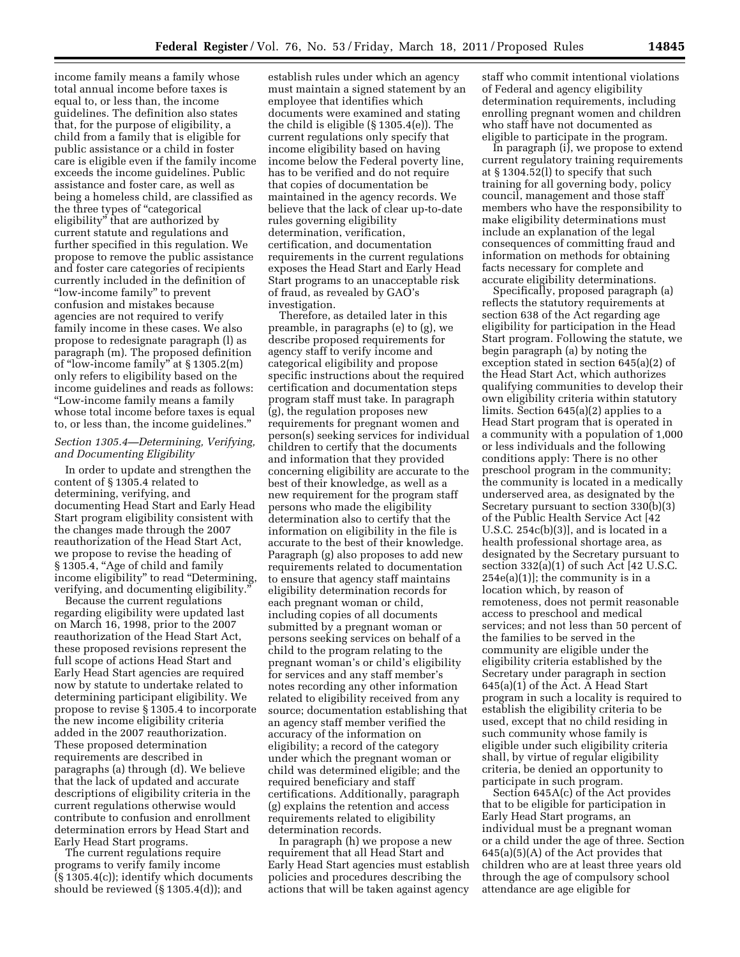income family means a family whose total annual income before taxes is equal to, or less than, the income guidelines. The definition also states that, for the purpose of eligibility, a child from a family that is eligible for public assistance or a child in foster care is eligible even if the family income exceeds the income guidelines. Public assistance and foster care, as well as being a homeless child, are classified as the three types of "categorical eligibility'' that are authorized by current statute and regulations and further specified in this regulation. We propose to remove the public assistance and foster care categories of recipients currently included in the definition of ''low-income family'' to prevent confusion and mistakes because agencies are not required to verify family income in these cases. We also propose to redesignate paragraph (l) as paragraph (m). The proposed definition of ''low-income family'' at § 1305.2(m) only refers to eligibility based on the income guidelines and reads as follows: ''Low-income family means a family whose total income before taxes is equal to, or less than, the income guidelines.''

# *Section 1305.4—Determining, Verifying, and Documenting Eligibility*

In order to update and strengthen the content of § 1305.4 related to determining, verifying, and documenting Head Start and Early Head Start program eligibility consistent with the changes made through the 2007 reauthorization of the Head Start Act, we propose to revise the heading of § 1305.4, "Age of child and family income eligibility" to read "Determining, verifying, and documenting eligibility.''

Because the current regulations regarding eligibility were updated last on March 16, 1998, prior to the 2007 reauthorization of the Head Start Act, these proposed revisions represent the full scope of actions Head Start and Early Head Start agencies are required now by statute to undertake related to determining participant eligibility. We propose to revise § 1305.4 to incorporate the new income eligibility criteria added in the 2007 reauthorization. These proposed determination requirements are described in paragraphs (a) through (d). We believe that the lack of updated and accurate descriptions of eligibility criteria in the current regulations otherwise would contribute to confusion and enrollment determination errors by Head Start and Early Head Start programs.

The current regulations require programs to verify family income (§ 1305.4(c)); identify which documents should be reviewed (§ 1305.4(d)); and

establish rules under which an agency must maintain a signed statement by an employee that identifies which documents were examined and stating the child is eligible (§ 1305.4(e)). The current regulations only specify that income eligibility based on having income below the Federal poverty line, has to be verified and do not require that copies of documentation be maintained in the agency records. We believe that the lack of clear up-to-date rules governing eligibility determination, verification, certification, and documentation requirements in the current regulations exposes the Head Start and Early Head Start programs to an unacceptable risk of fraud, as revealed by GAO's investigation.

Therefore, as detailed later in this preamble, in paragraphs (e) to (g), we describe proposed requirements for agency staff to verify income and categorical eligibility and propose specific instructions about the required certification and documentation steps program staff must take. In paragraph (g), the regulation proposes new requirements for pregnant women and person(s) seeking services for individual children to certify that the documents and information that they provided concerning eligibility are accurate to the best of their knowledge, as well as a new requirement for the program staff persons who made the eligibility determination also to certify that the information on eligibility in the file is accurate to the best of their knowledge. Paragraph (g) also proposes to add new requirements related to documentation to ensure that agency staff maintains eligibility determination records for each pregnant woman or child, including copies of all documents submitted by a pregnant woman or persons seeking services on behalf of a child to the program relating to the pregnant woman's or child's eligibility for services and any staff member's notes recording any other information related to eligibility received from any source; documentation establishing that an agency staff member verified the accuracy of the information on eligibility; a record of the category under which the pregnant woman or child was determined eligible; and the required beneficiary and staff certifications. Additionally, paragraph (g) explains the retention and access requirements related to eligibility determination records.

In paragraph (h) we propose a new requirement that all Head Start and Early Head Start agencies must establish policies and procedures describing the actions that will be taken against agency

staff who commit intentional violations of Federal and agency eligibility determination requirements, including enrolling pregnant women and children who staff have not documented as eligible to participate in the program.

In paragraph (i), we propose to extend current regulatory training requirements at § 1304.52(l) to specify that such training for all governing body, policy council, management and those staff members who have the responsibility to make eligibility determinations must include an explanation of the legal consequences of committing fraud and information on methods for obtaining facts necessary for complete and accurate eligibility determinations.

Specifically, proposed paragraph (a) reflects the statutory requirements at section 638 of the Act regarding age eligibility for participation in the Head Start program. Following the statute, we begin paragraph (a) by noting the exception stated in section 645(a)(2) of the Head Start Act, which authorizes qualifying communities to develop their own eligibility criteria within statutory limits. Section 645(a)(2) applies to a Head Start program that is operated in a community with a population of 1,000 or less individuals and the following conditions apply: There is no other preschool program in the community; the community is located in a medically underserved area, as designated by the Secretary pursuant to section 330(b)(3) of the Public Health Service Act [42 U.S.C. 254c(b)(3)], and is located in a health professional shortage area, as designated by the Secretary pursuant to section 332(a)(1) of such Act [42 U.S.C.  $254e(a)(1)$ ; the community is in a location which, by reason of remoteness, does not permit reasonable access to preschool and medical services; and not less than 50 percent of the families to be served in the community are eligible under the eligibility criteria established by the Secretary under paragraph in section 645(a)(1) of the Act. A Head Start program in such a locality is required to establish the eligibility criteria to be used, except that no child residing in such community whose family is eligible under such eligibility criteria shall, by virtue of regular eligibility criteria, be denied an opportunity to participate in such program.

Section 645A(c) of the Act provides that to be eligible for participation in Early Head Start programs, an individual must be a pregnant woman or a child under the age of three. Section  $645(a)(5)(A)$  of the Act provides that children who are at least three years old through the age of compulsory school attendance are age eligible for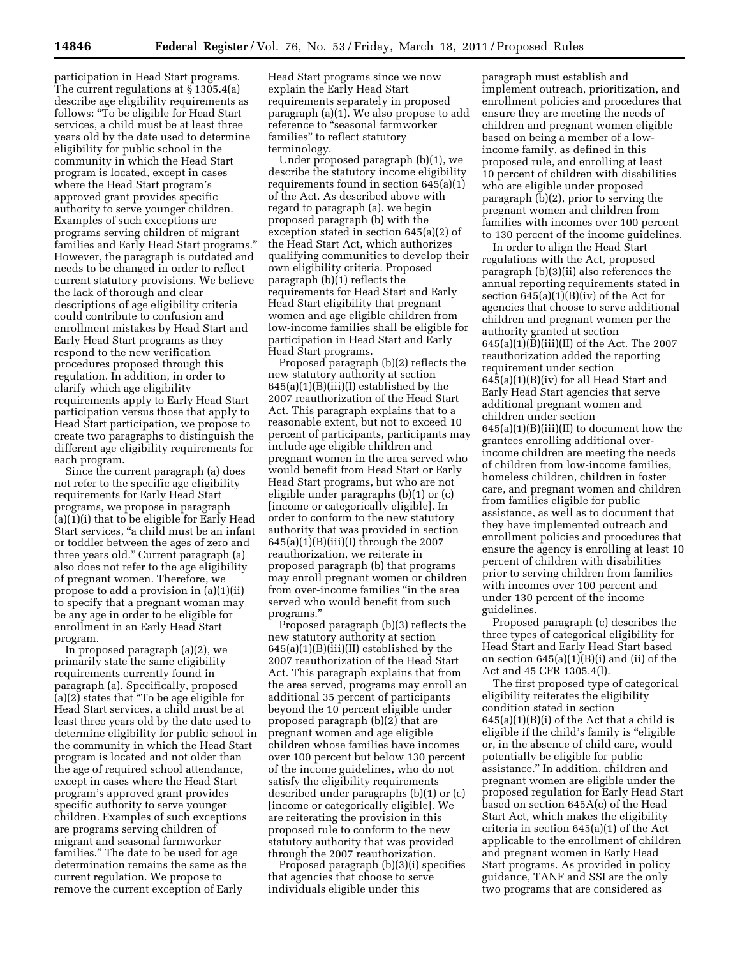participation in Head Start programs. The current regulations at § 1305.4(a) describe age eligibility requirements as follows: ''To be eligible for Head Start services, a child must be at least three years old by the date used to determine eligibility for public school in the community in which the Head Start program is located, except in cases where the Head Start program's approved grant provides specific authority to serve younger children. Examples of such exceptions are programs serving children of migrant families and Early Head Start programs.'' However, the paragraph is outdated and needs to be changed in order to reflect current statutory provisions. We believe the lack of thorough and clear descriptions of age eligibility criteria could contribute to confusion and enrollment mistakes by Head Start and Early Head Start programs as they respond to the new verification procedures proposed through this regulation. In addition, in order to clarify which age eligibility requirements apply to Early Head Start participation versus those that apply to Head Start participation, we propose to create two paragraphs to distinguish the different age eligibility requirements for each program.

Since the current paragraph (a) does not refer to the specific age eligibility requirements for Early Head Start programs, we propose in paragraph (a)(1)(i) that to be eligible for Early Head Start services, "a child must be an infant or toddler between the ages of zero and three years old.'' Current paragraph (a) also does not refer to the age eligibility of pregnant women. Therefore, we propose to add a provision in (a)(1)(ii) to specify that a pregnant woman may be any age in order to be eligible for enrollment in an Early Head Start program.

In proposed paragraph (a)(2), we primarily state the same eligibility requirements currently found in paragraph (a). Specifically, proposed (a)(2) states that ''To be age eligible for Head Start services, a child must be at least three years old by the date used to determine eligibility for public school in the community in which the Head Start program is located and not older than the age of required school attendance, except in cases where the Head Start program's approved grant provides specific authority to serve younger children. Examples of such exceptions are programs serving children of migrant and seasonal farmworker families.'' The date to be used for age determination remains the same as the current regulation. We propose to remove the current exception of Early

Head Start programs since we now explain the Early Head Start requirements separately in proposed paragraph (a)(1). We also propose to add reference to ''seasonal farmworker families'' to reflect statutory terminology.

Under proposed paragraph (b)(1), we describe the statutory income eligibility requirements found in section 645(a)(1) of the Act. As described above with regard to paragraph (a), we begin proposed paragraph (b) with the exception stated in section 645(a)(2) of the Head Start Act, which authorizes qualifying communities to develop their own eligibility criteria. Proposed paragraph (b)(1) reflects the requirements for Head Start and Early Head Start eligibility that pregnant women and age eligible children from low-income families shall be eligible for participation in Head Start and Early Head Start programs.

Proposed paragraph (b)(2) reflects the new statutory authority at section  $645(a)(1)(B)(iii)(I)$  established by the 2007 reauthorization of the Head Start Act. This paragraph explains that to a reasonable extent, but not to exceed 10 percent of participants, participants may include age eligible children and pregnant women in the area served who would benefit from Head Start or Early Head Start programs, but who are not eligible under paragraphs (b)(1) or (c) [income or categorically eligible]. In order to conform to the new statutory authority that was provided in section  $645(a)(1)(B)(iii)(I)$  through the 2007 reauthorization, we reiterate in proposed paragraph (b) that programs may enroll pregnant women or children from over-income families "in the area served who would benefit from such programs.''

Proposed paragraph (b)(3) reflects the new statutory authority at section  $645(a)(1)(B)(iii)(II)$  established by the 2007 reauthorization of the Head Start Act. This paragraph explains that from the area served, programs may enroll an additional 35 percent of participants beyond the 10 percent eligible under proposed paragraph (b)(2) that are pregnant women and age eligible children whose families have incomes over 100 percent but below 130 percent of the income guidelines, who do not satisfy the eligibility requirements described under paragraphs (b)(1) or (c) [income or categorically eligible]. We are reiterating the provision in this proposed rule to conform to the new statutory authority that was provided through the 2007 reauthorization.

Proposed paragraph (b)(3)(i) specifies that agencies that choose to serve individuals eligible under this

paragraph must establish and implement outreach, prioritization, and enrollment policies and procedures that ensure they are meeting the needs of children and pregnant women eligible based on being a member of a lowincome family, as defined in this proposed rule, and enrolling at least 10 percent of children with disabilities who are eligible under proposed paragraph (b)(2), prior to serving the pregnant women and children from families with incomes over 100 percent to 130 percent of the income guidelines.

In order to align the Head Start regulations with the Act, proposed paragraph (b)(3)(ii) also references the annual reporting requirements stated in section  $645(a)(1)(B)(iv)$  of the Act for agencies that choose to serve additional children and pregnant women per the authority granted at section  $645(a)(1)(B)(iii)(II)$  of the Act. The 2007 reauthorization added the reporting requirement under section 645(a)(1)(B)(iv) for all Head Start and Early Head Start agencies that serve additional pregnant women and children under section  $645(a)(1)(B)(iii)(II)$  to document how the grantees enrolling additional overincome children are meeting the needs of children from low-income families, homeless children, children in foster care, and pregnant women and children from families eligible for public assistance, as well as to document that they have implemented outreach and enrollment policies and procedures that ensure the agency is enrolling at least 10 percent of children with disabilities prior to serving children from families with incomes over 100 percent and under 130 percent of the income guidelines.

Proposed paragraph (c) describes the three types of categorical eligibility for Head Start and Early Head Start based on section 645(a)(1)(B)(i) and (ii) of the Act and 45 CFR 1305.4(l).

The first proposed type of categorical eligibility reiterates the eligibility condition stated in section  $645(a)(1)(B)(i)$  of the Act that a child is eligible if the child's family is ''eligible or, in the absence of child care, would potentially be eligible for public assistance.'' In addition, children and pregnant women are eligible under the proposed regulation for Early Head Start based on section 645A(c) of the Head Start Act, which makes the eligibility criteria in section 645(a)(1) of the Act applicable to the enrollment of children and pregnant women in Early Head Start programs. As provided in policy guidance, TANF and SSI are the only two programs that are considered as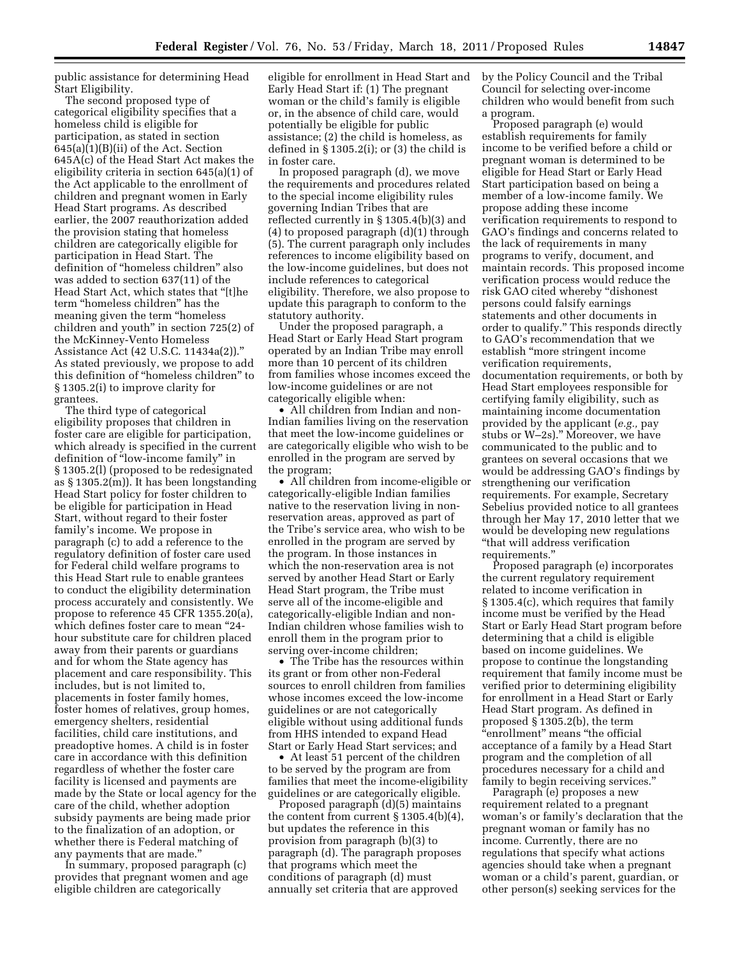public assistance for determining Head Start Eligibility.

The second proposed type of categorical eligibility specifies that a homeless child is eligible for participation, as stated in section 645(a)(1)(B)(ii) of the Act. Section 645A(c) of the Head Start Act makes the eligibility criteria in section 645(a)(1) of the Act applicable to the enrollment of children and pregnant women in Early Head Start programs. As described earlier, the 2007 reauthorization added the provision stating that homeless children are categorically eligible for participation in Head Start. The definition of ''homeless children'' also was added to section 637(11) of the Head Start Act, which states that ''[t]he term "homeless children" has the meaning given the term ''homeless children and youth'' in section 725(2) of the McKinney-Vento Homeless Assistance Act (42 U.S.C. 11434a(2)).'' As stated previously, we propose to add this definition of ''homeless children'' to § 1305.2(i) to improve clarity for grantees.

The third type of categorical eligibility proposes that children in foster care are eligible for participation, which already is specified in the current definition of ''low-income family'' in § 1305.2(l) (proposed to be redesignated as § 1305.2(m)). It has been longstanding Head Start policy for foster children to be eligible for participation in Head Start, without regard to their foster family's income. We propose in paragraph (c) to add a reference to the regulatory definition of foster care used for Federal child welfare programs to this Head Start rule to enable grantees to conduct the eligibility determination process accurately and consistently. We propose to reference 45 CFR 1355.20(a), which defines foster care to mean ''24 hour substitute care for children placed away from their parents or guardians and for whom the State agency has placement and care responsibility. This includes, but is not limited to, placements in foster family homes, foster homes of relatives, group homes, emergency shelters, residential facilities, child care institutions, and preadoptive homes. A child is in foster care in accordance with this definition regardless of whether the foster care facility is licensed and payments are made by the State or local agency for the care of the child, whether adoption subsidy payments are being made prior to the finalization of an adoption, or whether there is Federal matching of any payments that are made.''

In summary, proposed paragraph (c) provides that pregnant women and age eligible children are categorically

eligible for enrollment in Head Start and Early Head Start if: (1) The pregnant woman or the child's family is eligible or, in the absence of child care, would potentially be eligible for public assistance; (2) the child is homeless, as defined in § 1305.2(i); or (3) the child is in foster care.

In proposed paragraph (d), we move the requirements and procedures related to the special income eligibility rules governing Indian Tribes that are reflected currently in § 1305.4(b)(3) and (4) to proposed paragraph (d)(1) through (5). The current paragraph only includes references to income eligibility based on the low-income guidelines, but does not include references to categorical eligibility. Therefore, we also propose to update this paragraph to conform to the statutory authority.

Under the proposed paragraph, a Head Start or Early Head Start program operated by an Indian Tribe may enroll more than 10 percent of its children from families whose incomes exceed the low-income guidelines or are not categorically eligible when:

• All children from Indian and non-Indian families living on the reservation that meet the low-income guidelines or are categorically eligible who wish to be enrolled in the program are served by the program;

• All children from income-eligible or categorically-eligible Indian families native to the reservation living in nonreservation areas, approved as part of the Tribe's service area, who wish to be enrolled in the program are served by the program. In those instances in which the non-reservation area is not served by another Head Start or Early Head Start program, the Tribe must serve all of the income-eligible and categorically-eligible Indian and non-Indian children whose families wish to enroll them in the program prior to serving over-income children;

• The Tribe has the resources within its grant or from other non-Federal sources to enroll children from families whose incomes exceed the low-income guidelines or are not categorically eligible without using additional funds from HHS intended to expand Head Start or Early Head Start services; and

• At least 51 percent of the children to be served by the program are from families that meet the income-eligibility guidelines or are categorically eligible.

Proposed paragraph (d)(5) maintains the content from current § 1305.4(b)(4), but updates the reference in this provision from paragraph (b)(3) to paragraph (d). The paragraph proposes that programs which meet the conditions of paragraph (d) must annually set criteria that are approved

by the Policy Council and the Tribal Council for selecting over-income children who would benefit from such a program.

Proposed paragraph (e) would establish requirements for family income to be verified before a child or pregnant woman is determined to be eligible for Head Start or Early Head Start participation based on being a member of a low-income family. We propose adding these income verification requirements to respond to GAO's findings and concerns related to the lack of requirements in many programs to verify, document, and maintain records. This proposed income verification process would reduce the risk GAO cited whereby ''dishonest persons could falsify earnings statements and other documents in order to qualify.'' This responds directly to GAO's recommendation that we establish ''more stringent income verification requirements, documentation requirements, or both by Head Start employees responsible for certifying family eligibility, such as maintaining income documentation provided by the applicant (*e.g.,* pay stubs or W–2s).'' Moreover, we have communicated to the public and to grantees on several occasions that we would be addressing GAO's findings by strengthening our verification requirements. For example, Secretary Sebelius provided notice to all grantees through her May 17, 2010 letter that we would be developing new regulations ''that will address verification requirements.''

Proposed paragraph (e) incorporates the current regulatory requirement related to income verification in § 1305.4(c), which requires that family income must be verified by the Head Start or Early Head Start program before determining that a child is eligible based on income guidelines. We propose to continue the longstanding requirement that family income must be verified prior to determining eligibility for enrollment in a Head Start or Early Head Start program. As defined in proposed § 1305.2(b), the term ''enrollment'' means ''the official acceptance of a family by a Head Start program and the completion of all procedures necessary for a child and family to begin receiving services.''

Paragraph (e) proposes a new requirement related to a pregnant woman's or family's declaration that the pregnant woman or family has no income. Currently, there are no regulations that specify what actions agencies should take when a pregnant woman or a child's parent, guardian, or other person(s) seeking services for the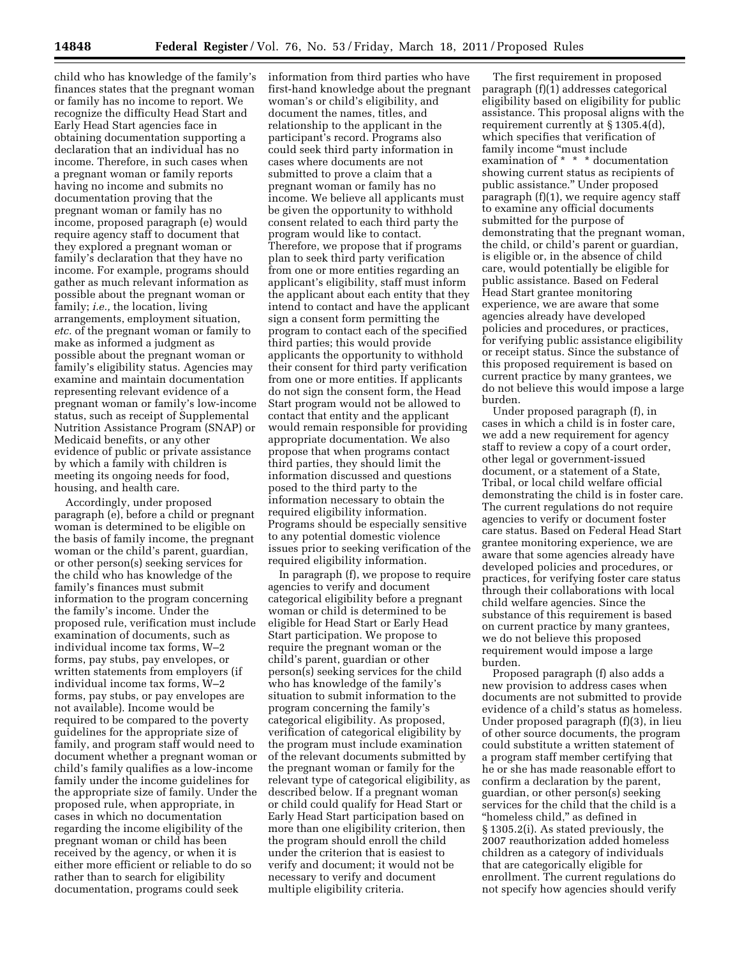child who has knowledge of the family's finances states that the pregnant woman or family has no income to report. We recognize the difficulty Head Start and Early Head Start agencies face in obtaining documentation supporting a declaration that an individual has no income. Therefore, in such cases when a pregnant woman or family reports having no income and submits no documentation proving that the pregnant woman or family has no income, proposed paragraph (e) would require agency staff to document that they explored a pregnant woman or family's declaration that they have no income. For example, programs should gather as much relevant information as possible about the pregnant woman or family; *i.e.,* the location, living arrangements, employment situation, *etc.* of the pregnant woman or family to make as informed a judgment as possible about the pregnant woman or family's eligibility status. Agencies may examine and maintain documentation representing relevant evidence of a pregnant woman or family's low-income status, such as receipt of Supplemental Nutrition Assistance Program (SNAP) or Medicaid benefits, or any other evidence of public or private assistance by which a family with children is meeting its ongoing needs for food, housing, and health care.

Accordingly, under proposed paragraph (e), before a child or pregnant woman is determined to be eligible on the basis of family income, the pregnant woman or the child's parent, guardian, or other person(s) seeking services for the child who has knowledge of the family's finances must submit information to the program concerning the family's income. Under the proposed rule, verification must include examination of documents, such as individual income tax forms, W–2 forms, pay stubs, pay envelopes, or written statements from employers (if individual income tax forms, W–2 forms, pay stubs, or pay envelopes are not available). Income would be required to be compared to the poverty guidelines for the appropriate size of family, and program staff would need to document whether a pregnant woman or child's family qualifies as a low-income family under the income guidelines for the appropriate size of family. Under the proposed rule, when appropriate, in cases in which no documentation regarding the income eligibility of the pregnant woman or child has been received by the agency, or when it is either more efficient or reliable to do so rather than to search for eligibility documentation, programs could seek

information from third parties who have first-hand knowledge about the pregnant woman's or child's eligibility, and document the names, titles, and relationship to the applicant in the participant's record. Programs also could seek third party information in cases where documents are not submitted to prove a claim that a pregnant woman or family has no income. We believe all applicants must be given the opportunity to withhold consent related to each third party the program would like to contact. Therefore, we propose that if programs plan to seek third party verification from one or more entities regarding an applicant's eligibility, staff must inform the applicant about each entity that they intend to contact and have the applicant sign a consent form permitting the program to contact each of the specified third parties; this would provide applicants the opportunity to withhold their consent for third party verification from one or more entities. If applicants do not sign the consent form, the Head Start program would not be allowed to contact that entity and the applicant would remain responsible for providing appropriate documentation. We also propose that when programs contact third parties, they should limit the information discussed and questions posed to the third party to the information necessary to obtain the required eligibility information. Programs should be especially sensitive to any potential domestic violence issues prior to seeking verification of the required eligibility information.

In paragraph (f), we propose to require agencies to verify and document categorical eligibility before a pregnant woman or child is determined to be eligible for Head Start or Early Head Start participation. We propose to require the pregnant woman or the child's parent, guardian or other person(s) seeking services for the child who has knowledge of the family's situation to submit information to the program concerning the family's categorical eligibility. As proposed, verification of categorical eligibility by the program must include examination of the relevant documents submitted by the pregnant woman or family for the relevant type of categorical eligibility, as described below. If a pregnant woman or child could qualify for Head Start or Early Head Start participation based on more than one eligibility criterion, then the program should enroll the child under the criterion that is easiest to verify and document; it would not be necessary to verify and document multiple eligibility criteria.

The first requirement in proposed paragraph (f)(1) addresses categorical eligibility based on eligibility for public assistance. This proposal aligns with the requirement currently at § 1305.4(d), which specifies that verification of family income "must include" examination of \* \* \* documentation showing current status as recipients of public assistance.'' Under proposed paragraph (f)(1), we require agency staff to examine any official documents submitted for the purpose of demonstrating that the pregnant woman, the child, or child's parent or guardian, is eligible or, in the absence of child care, would potentially be eligible for public assistance. Based on Federal Head Start grantee monitoring experience, we are aware that some agencies already have developed policies and procedures, or practices, for verifying public assistance eligibility or receipt status. Since the substance of this proposed requirement is based on current practice by many grantees, we do not believe this would impose a large burden.

Under proposed paragraph (f), in cases in which a child is in foster care, we add a new requirement for agency staff to review a copy of a court order, other legal or government-issued document, or a statement of a State, Tribal, or local child welfare official demonstrating the child is in foster care. The current regulations do not require agencies to verify or document foster care status. Based on Federal Head Start grantee monitoring experience, we are aware that some agencies already have developed policies and procedures, or practices, for verifying foster care status through their collaborations with local child welfare agencies. Since the substance of this requirement is based on current practice by many grantees, we do not believe this proposed requirement would impose a large burden.

Proposed paragraph (f) also adds a new provision to address cases when documents are not submitted to provide evidence of a child's status as homeless. Under proposed paragraph (f)(3), in lieu of other source documents, the program could substitute a written statement of a program staff member certifying that he or she has made reasonable effort to confirm a declaration by the parent, guardian, or other person(s) seeking services for the child that the child is a "homeless child," as defined in § 1305.2(i). As stated previously, the 2007 reauthorization added homeless children as a category of individuals that are categorically eligible for enrollment. The current regulations do not specify how agencies should verify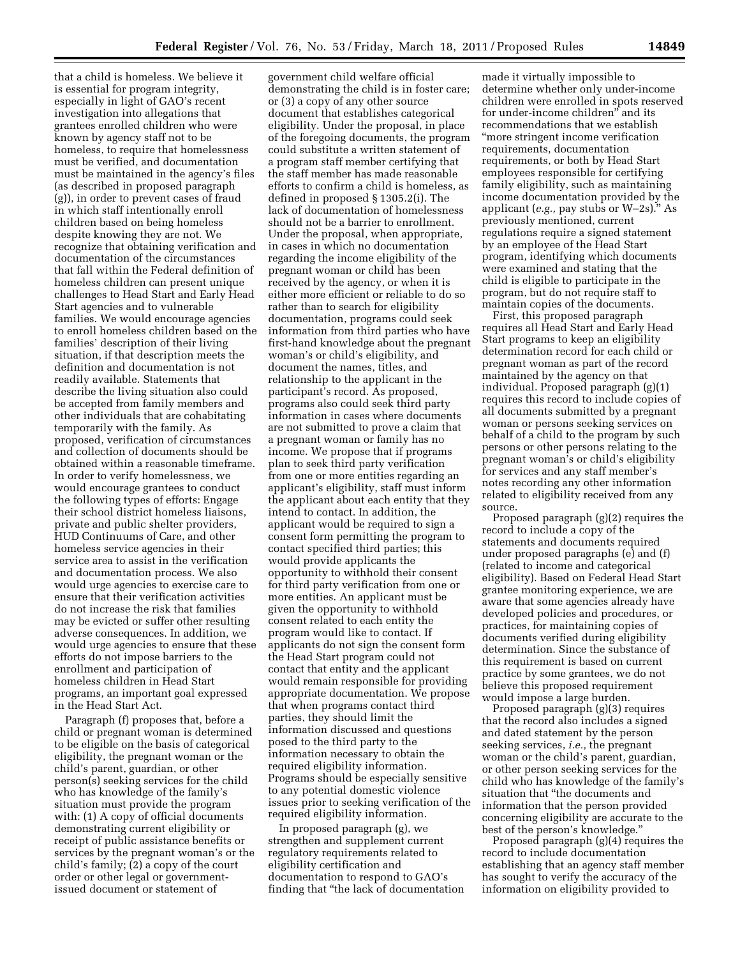that a child is homeless. We believe it is essential for program integrity, especially in light of GAO's recent investigation into allegations that grantees enrolled children who were known by agency staff not to be homeless, to require that homelessness must be verified, and documentation must be maintained in the agency's files (as described in proposed paragraph (g)), in order to prevent cases of fraud in which staff intentionally enroll children based on being homeless despite knowing they are not. We recognize that obtaining verification and documentation of the circumstances that fall within the Federal definition of homeless children can present unique challenges to Head Start and Early Head Start agencies and to vulnerable families. We would encourage agencies to enroll homeless children based on the families' description of their living situation, if that description meets the definition and documentation is not readily available. Statements that describe the living situation also could be accepted from family members and other individuals that are cohabitating temporarily with the family. As proposed, verification of circumstances and collection of documents should be obtained within a reasonable timeframe. In order to verify homelessness, we would encourage grantees to conduct the following types of efforts: Engage their school district homeless liaisons, private and public shelter providers, HUD Continuums of Care, and other homeless service agencies in their service area to assist in the verification and documentation process. We also would urge agencies to exercise care to ensure that their verification activities do not increase the risk that families may be evicted or suffer other resulting adverse consequences. In addition, we would urge agencies to ensure that these efforts do not impose barriers to the enrollment and participation of homeless children in Head Start programs, an important goal expressed in the Head Start Act.

Paragraph (f) proposes that, before a child or pregnant woman is determined to be eligible on the basis of categorical eligibility, the pregnant woman or the child's parent, guardian, or other person(s) seeking services for the child who has knowledge of the family's situation must provide the program with: (1) A copy of official documents demonstrating current eligibility or receipt of public assistance benefits or services by the pregnant woman's or the child's family; (2) a copy of the court order or other legal or governmentissued document or statement of

government child welfare official demonstrating the child is in foster care; or (3) a copy of any other source document that establishes categorical eligibility. Under the proposal, in place of the foregoing documents, the program could substitute a written statement of a program staff member certifying that the staff member has made reasonable efforts to confirm a child is homeless, as defined in proposed § 1305.2(i). The lack of documentation of homelessness should not be a barrier to enrollment. Under the proposal, when appropriate, in cases in which no documentation regarding the income eligibility of the pregnant woman or child has been received by the agency, or when it is either more efficient or reliable to do so rather than to search for eligibility documentation, programs could seek information from third parties who have first-hand knowledge about the pregnant woman's or child's eligibility, and document the names, titles, and relationship to the applicant in the participant's record. As proposed, programs also could seek third party information in cases where documents are not submitted to prove a claim that a pregnant woman or family has no income. We propose that if programs plan to seek third party verification from one or more entities regarding an applicant's eligibility, staff must inform the applicant about each entity that they intend to contact. In addition, the applicant would be required to sign a consent form permitting the program to contact specified third parties; this would provide applicants the opportunity to withhold their consent for third party verification from one or more entities. An applicant must be given the opportunity to withhold consent related to each entity the program would like to contact. If applicants do not sign the consent form the Head Start program could not contact that entity and the applicant would remain responsible for providing appropriate documentation. We propose that when programs contact third parties, they should limit the information discussed and questions posed to the third party to the information necessary to obtain the required eligibility information. Programs should be especially sensitive to any potential domestic violence issues prior to seeking verification of the required eligibility information.

In proposed paragraph (g), we strengthen and supplement current regulatory requirements related to eligibility certification and documentation to respond to GAO's finding that ''the lack of documentation

made it virtually impossible to determine whether only under-income children were enrolled in spots reserved for under-income children'' and its recommendations that we establish ''more stringent income verification requirements, documentation requirements, or both by Head Start employees responsible for certifying family eligibility, such as maintaining income documentation provided by the applicant (*e.g.,* pay stubs or W–2s).'' As previously mentioned, current regulations require a signed statement by an employee of the Head Start program, identifying which documents were examined and stating that the child is eligible to participate in the program, but do not require staff to maintain copies of the documents.

First, this proposed paragraph requires all Head Start and Early Head Start programs to keep an eligibility determination record for each child or pregnant woman as part of the record maintained by the agency on that individual. Proposed paragraph (g)(1) requires this record to include copies of all documents submitted by a pregnant woman or persons seeking services on behalf of a child to the program by such persons or other persons relating to the pregnant woman's or child's eligibility for services and any staff member's notes recording any other information related to eligibility received from any source.

Proposed paragraph (g)(2) requires the record to include a copy of the statements and documents required under proposed paragraphs (e) and (f) (related to income and categorical eligibility). Based on Federal Head Start grantee monitoring experience, we are aware that some agencies already have developed policies and procedures, or practices, for maintaining copies of documents verified during eligibility determination. Since the substance of this requirement is based on current practice by some grantees, we do not believe this proposed requirement would impose a large burden.

Proposed paragraph (g)(3) requires that the record also includes a signed and dated statement by the person seeking services, *i.e.,* the pregnant woman or the child's parent, guardian, or other person seeking services for the child who has knowledge of the family's situation that ''the documents and information that the person provided concerning eligibility are accurate to the best of the person's knowledge.''

Proposed paragraph (g)(4) requires the record to include documentation establishing that an agency staff member has sought to verify the accuracy of the information on eligibility provided to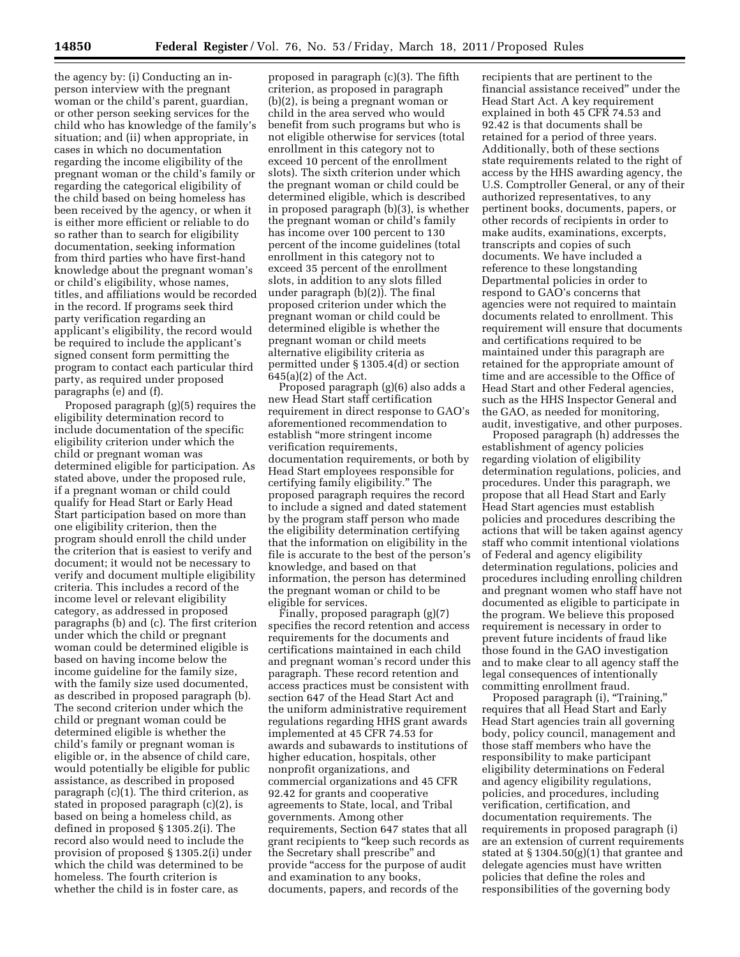the agency by: (i) Conducting an inperson interview with the pregnant woman or the child's parent, guardian, or other person seeking services for the child who has knowledge of the family's situation; and (ii) when appropriate, in cases in which no documentation regarding the income eligibility of the pregnant woman or the child's family or regarding the categorical eligibility of the child based on being homeless has been received by the agency, or when it is either more efficient or reliable to do so rather than to search for eligibility documentation, seeking information from third parties who have first-hand knowledge about the pregnant woman's or child's eligibility, whose names, titles, and affiliations would be recorded in the record. If programs seek third party verification regarding an applicant's eligibility, the record would be required to include the applicant's signed consent form permitting the program to contact each particular third party, as required under proposed paragraphs (e) and (f).

Proposed paragraph (g)(5) requires the eligibility determination record to include documentation of the specific eligibility criterion under which the child or pregnant woman was determined eligible for participation. As stated above, under the proposed rule, if a pregnant woman or child could qualify for Head Start or Early Head Start participation based on more than one eligibility criterion, then the program should enroll the child under the criterion that is easiest to verify and document; it would not be necessary to verify and document multiple eligibility criteria. This includes a record of the income level or relevant eligibility category, as addressed in proposed paragraphs (b) and (c). The first criterion under which the child or pregnant woman could be determined eligible is based on having income below the income guideline for the family size, with the family size used documented, as described in proposed paragraph (b). The second criterion under which the child or pregnant woman could be determined eligible is whether the child's family or pregnant woman is eligible or, in the absence of child care, would potentially be eligible for public assistance, as described in proposed paragraph (c)(1). The third criterion, as stated in proposed paragraph (c)(2), is based on being a homeless child, as defined in proposed § 1305.2(i). The record also would need to include the provision of proposed § 1305.2(i) under which the child was determined to be homeless. The fourth criterion is whether the child is in foster care, as

proposed in paragraph (c)(3). The fifth criterion, as proposed in paragraph (b)(2), is being a pregnant woman or child in the area served who would benefit from such programs but who is not eligible otherwise for services (total enrollment in this category not to exceed 10 percent of the enrollment slots). The sixth criterion under which the pregnant woman or child could be determined eligible, which is described in proposed paragraph (b)(3), is whether the pregnant woman or child's family has income over 100 percent to 130 percent of the income guidelines (total enrollment in this category not to exceed 35 percent of the enrollment slots, in addition to any slots filled under paragraph (b)(2)). The final proposed criterion under which the pregnant woman or child could be determined eligible is whether the pregnant woman or child meets alternative eligibility criteria as permitted under § 1305.4(d) or section 645(a)(2) of the Act.

Proposed paragraph (g)(6) also adds a new Head Start staff certification requirement in direct response to GAO's aforementioned recommendation to establish ''more stringent income verification requirements, documentation requirements, or both by Head Start employees responsible for certifying family eligibility.'' The proposed paragraph requires the record to include a signed and dated statement by the program staff person who made the eligibility determination certifying that the information on eligibility in the file is accurate to the best of the person's knowledge, and based on that information, the person has determined the pregnant woman or child to be eligible for services.

Finally, proposed paragraph (g)(7) specifies the record retention and access requirements for the documents and certifications maintained in each child and pregnant woman's record under this paragraph. These record retention and access practices must be consistent with section 647 of the Head Start Act and the uniform administrative requirement regulations regarding HHS grant awards implemented at 45 CFR 74.53 for awards and subawards to institutions of higher education, hospitals, other nonprofit organizations, and commercial organizations and 45 CFR 92.42 for grants and cooperative agreements to State, local, and Tribal governments. Among other requirements, Section 647 states that all grant recipients to ''keep such records as the Secretary shall prescribe'' and provide ''access for the purpose of audit and examination to any books, documents, papers, and records of the

recipients that are pertinent to the financial assistance received'' under the Head Start Act. A key requirement explained in both 45 CFR 74.53 and 92.42 is that documents shall be retained for a period of three years. Additionally, both of these sections state requirements related to the right of access by the HHS awarding agency, the U.S. Comptroller General, or any of their authorized representatives, to any pertinent books, documents, papers, or other records of recipients in order to make audits, examinations, excerpts, transcripts and copies of such documents. We have included a reference to these longstanding Departmental policies in order to respond to GAO's concerns that agencies were not required to maintain documents related to enrollment. This requirement will ensure that documents and certifications required to be maintained under this paragraph are retained for the appropriate amount of time and are accessible to the Office of Head Start and other Federal agencies, such as the HHS Inspector General and the GAO, as needed for monitoring, audit, investigative, and other purposes.

Proposed paragraph (h) addresses the establishment of agency policies regarding violation of eligibility determination regulations, policies, and procedures. Under this paragraph, we propose that all Head Start and Early Head Start agencies must establish policies and procedures describing the actions that will be taken against agency staff who commit intentional violations of Federal and agency eligibility determination regulations, policies and procedures including enrolling children and pregnant women who staff have not documented as eligible to participate in the program. We believe this proposed requirement is necessary in order to prevent future incidents of fraud like those found in the GAO investigation and to make clear to all agency staff the legal consequences of intentionally committing enrollment fraud.

Proposed paragraph (i), "Training," requires that all Head Start and Early Head Start agencies train all governing body, policy council, management and those staff members who have the responsibility to make participant eligibility determinations on Federal and agency eligibility regulations, policies, and procedures, including verification, certification, and documentation requirements. The requirements in proposed paragraph (i) are an extension of current requirements stated at § 1304.50(g)(1) that grantee and delegate agencies must have written policies that define the roles and responsibilities of the governing body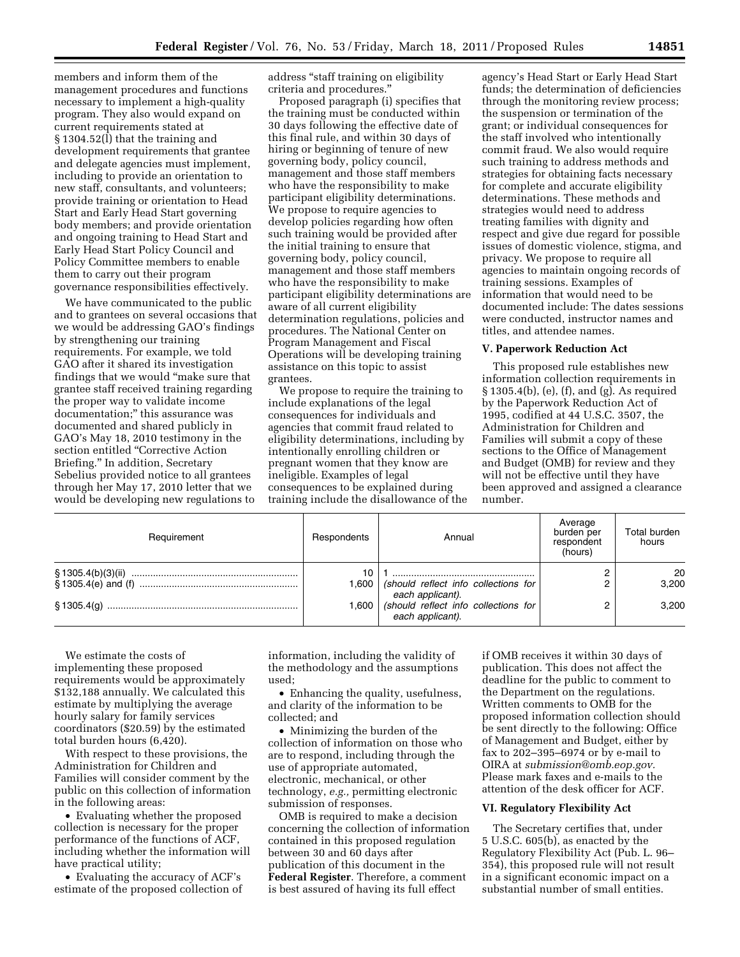members and inform them of the management procedures and functions necessary to implement a high-quality program. They also would expand on current requirements stated at § 1304.52(l) that the training and development requirements that grantee and delegate agencies must implement, including to provide an orientation to new staff, consultants, and volunteers; provide training or orientation to Head Start and Early Head Start governing body members; and provide orientation and ongoing training to Head Start and Early Head Start Policy Council and Policy Committee members to enable them to carry out their program governance responsibilities effectively.

We have communicated to the public and to grantees on several occasions that we would be addressing GAO's findings by strengthening our training requirements. For example, we told GAO after it shared its investigation findings that we would ''make sure that grantee staff received training regarding the proper way to validate income documentation;'' this assurance was documented and shared publicly in GAO's May 18, 2010 testimony in the section entitled ''Corrective Action Briefing.'' In addition, Secretary Sebelius provided notice to all grantees through her May 17, 2010 letter that we would be developing new regulations to

address ''staff training on eligibility criteria and procedures.''

Proposed paragraph (i) specifies that the training must be conducted within 30 days following the effective date of this final rule, and within 30 days of hiring or beginning of tenure of new governing body, policy council, management and those staff members who have the responsibility to make participant eligibility determinations. We propose to require agencies to develop policies regarding how often such training would be provided after the initial training to ensure that governing body, policy council, management and those staff members who have the responsibility to make participant eligibility determinations are aware of all current eligibility determination regulations, policies and procedures. The National Center on Program Management and Fiscal Operations will be developing training assistance on this topic to assist grantees.

We propose to require the training to include explanations of the legal consequences for individuals and agencies that commit fraud related to eligibility determinations, including by intentionally enrolling children or pregnant women that they know are ineligible. Examples of legal consequences to be explained during training include the disallowance of the

agency's Head Start or Early Head Start funds; the determination of deficiencies through the monitoring review process; the suspension or termination of the grant; or individual consequences for the staff involved who intentionally commit fraud. We also would require such training to address methods and strategies for obtaining facts necessary for complete and accurate eligibility determinations. These methods and strategies would need to address treating families with dignity and respect and give due regard for possible issues of domestic violence, stigma, and privacy. We propose to require all agencies to maintain ongoing records of training sessions. Examples of information that would need to be documented include: The dates sessions were conducted, instructor names and titles, and attendee names.

#### **V. Paperwork Reduction Act**

This proposed rule establishes new information collection requirements in § 1305.4(b), (e), (f), and (g). As required by the Paperwork Reduction Act of 1995, codified at 44 U.S.C. 3507, the Administration for Children and Families will submit a copy of these sections to the Office of Management and Budget (OMB) for review and they will not be effective until they have been approved and assigned a clearance number.

| Requirement | Respondents | Annual                                                           | Average<br>burden per<br>respondent<br>(hours) | Total burden<br>hours |
|-------------|-------------|------------------------------------------------------------------|------------------------------------------------|-----------------------|
|             |             |                                                                  |                                                | 20                    |
|             |             | 1,600   (should reflect info collections for<br>each applicant). |                                                | 3.200                 |
|             |             | 1,600   (should reflect info collections for<br>each applicant). |                                                | 3.200                 |

We estimate the costs of implementing these proposed requirements would be approximately \$132,188 annually. We calculated this estimate by multiplying the average hourly salary for family services coordinators (\$20.59) by the estimated total burden hours (6,420).

With respect to these provisions, the Administration for Children and Families will consider comment by the public on this collection of information in the following areas:

• Evaluating whether the proposed collection is necessary for the proper performance of the functions of ACF, including whether the information will have practical utility;

• Evaluating the accuracy of ACF's estimate of the proposed collection of information, including the validity of the methodology and the assumptions used;

• Enhancing the quality, usefulness, and clarity of the information to be collected; and

• Minimizing the burden of the collection of information on those who are to respond, including through the use of appropriate automated, electronic, mechanical, or other technology, *e.g.,* permitting electronic submission of responses.

OMB is required to make a decision concerning the collection of information contained in this proposed regulation between 30 and 60 days after publication of this document in the **Federal Register**. Therefore, a comment is best assured of having its full effect

if OMB receives it within 30 days of publication. This does not affect the deadline for the public to comment to the Department on the regulations. Written comments to OMB for the proposed information collection should be sent directly to the following: Office of Management and Budget, either by fax to 202–395–6974 or by e-mail to OIRA at *[submission@omb.eop.gov.](mailto:submission@omb.eop.gov)*  Please mark faxes and e-mails to the attention of the desk officer for ACF.

# **VI. Regulatory Flexibility Act**

The Secretary certifies that, under 5 U.S.C. 605(b), as enacted by the Regulatory Flexibility Act (Pub. L. 96– 354), this proposed rule will not result in a significant economic impact on a substantial number of small entities.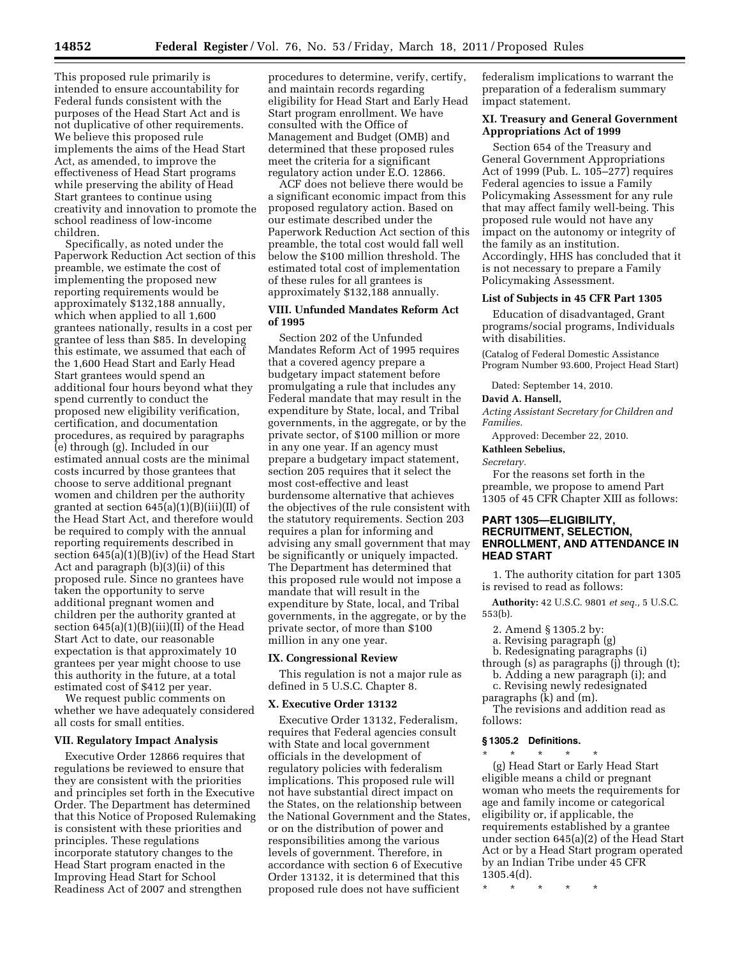This proposed rule primarily is intended to ensure accountability for Federal funds consistent with the purposes of the Head Start Act and is not duplicative of other requirements. We believe this proposed rule implements the aims of the Head Start Act, as amended, to improve the effectiveness of Head Start programs while preserving the ability of Head Start grantees to continue using creativity and innovation to promote the school readiness of low-income children.

Specifically, as noted under the Paperwork Reduction Act section of this preamble, we estimate the cost of implementing the proposed new reporting requirements would be approximately \$132,188 annually, which when applied to all 1,600 grantees nationally, results in a cost per grantee of less than \$85. In developing this estimate, we assumed that each of the 1,600 Head Start and Early Head Start grantees would spend an additional four hours beyond what they spend currently to conduct the proposed new eligibility verification, certification, and documentation procedures, as required by paragraphs (e) through (g). Included in our estimated annual costs are the minimal costs incurred by those grantees that choose to serve additional pregnant women and children per the authority granted at section 645(a)(1)(B)(iii)(II) of the Head Start Act, and therefore would be required to comply with the annual reporting requirements described in section 645(a)(1)(B)(iv) of the Head Start Act and paragraph (b)(3)(ii) of this proposed rule. Since no grantees have taken the opportunity to serve additional pregnant women and children per the authority granted at section 645(a)(1)(B)(iii)(II) of the Head Start Act to date, our reasonable expectation is that approximately 10 grantees per year might choose to use this authority in the future, at a total estimated cost of \$412 per year.

We request public comments on whether we have adequately considered all costs for small entities.

### **VII. Regulatory Impact Analysis**

Executive Order 12866 requires that regulations be reviewed to ensure that they are consistent with the priorities and principles set forth in the Executive Order. The Department has determined that this Notice of Proposed Rulemaking is consistent with these priorities and principles. These regulations incorporate statutory changes to the Head Start program enacted in the Improving Head Start for School Readiness Act of 2007 and strengthen

procedures to determine, verify, certify, and maintain records regarding eligibility for Head Start and Early Head Start program enrollment. We have consulted with the Office of Management and Budget (OMB) and determined that these proposed rules meet the criteria for a significant regulatory action under E.O. 12866.

ACF does not believe there would be a significant economic impact from this proposed regulatory action. Based on our estimate described under the Paperwork Reduction Act section of this preamble, the total cost would fall well below the \$100 million threshold. The estimated total cost of implementation of these rules for all grantees is approximately \$132,188 annually.

# **VIII. Unfunded Mandates Reform Act of 1995**

Section 202 of the Unfunded Mandates Reform Act of 1995 requires that a covered agency prepare a budgetary impact statement before promulgating a rule that includes any Federal mandate that may result in the expenditure by State, local, and Tribal governments, in the aggregate, or by the private sector, of \$100 million or more in any one year. If an agency must prepare a budgetary impact statement, section 205 requires that it select the most cost-effective and least burdensome alternative that achieves the objectives of the rule consistent with the statutory requirements. Section 203 requires a plan for informing and advising any small government that may be significantly or uniquely impacted. The Department has determined that this proposed rule would not impose a mandate that will result in the expenditure by State, local, and Tribal governments, in the aggregate, or by the private sector, of more than \$100 million in any one year.

### **IX. Congressional Review**

This regulation is not a major rule as defined in 5 U.S.C. Chapter 8.

#### **X. Executive Order 13132**

Executive Order 13132, Federalism, requires that Federal agencies consult with State and local government officials in the development of regulatory policies with federalism implications. This proposed rule will not have substantial direct impact on the States, on the relationship between the National Government and the States, or on the distribution of power and responsibilities among the various levels of government. Therefore, in accordance with section 6 of Executive Order 13132, it is determined that this proposed rule does not have sufficient

federalism implications to warrant the preparation of a federalism summary impact statement.

## **XI. Treasury and General Government Appropriations Act of 1999**

Section 654 of the Treasury and General Government Appropriations Act of 1999 (Pub. L. 105–277) requires Federal agencies to issue a Family Policymaking Assessment for any rule that may affect family well-being. This proposed rule would not have any impact on the autonomy or integrity of the family as an institution. Accordingly, HHS has concluded that it is not necessary to prepare a Family Policymaking Assessment.

## **List of Subjects in 45 CFR Part 1305**

Education of disadvantaged, Grant programs/social programs, Individuals with disabilities.

(Catalog of Federal Domestic Assistance Program Number 93.600, Project Head Start)

Dated: September 14, 2010.

### **David A. Hansell,**

*Acting Assistant Secretary for Children and Families.* 

Approved: December 22, 2010.

## **Kathleen Sebelius,**

*Secretary.* 

For the reasons set forth in the preamble, we propose to amend Part 1305 of 45 CFR Chapter XIII as follows:

# **PART 1305—ELIGIBILITY, RECRUITMENT, SELECTION, ENROLLMENT, AND ATTENDANCE IN HEAD START**

1. The authority citation for part 1305 is revised to read as follows:

**Authority:** 42 U.S.C. 9801 *et seq.,* 5 U.S.C. 553(b).

2. Amend § 1305.2 by:

- a. Revising paragraph (g)
- b. Redesignating paragraphs (i)

through  $(s)$  as paragraphs  $(j)$  through  $(t)$ ; b. Adding a new paragraph (i); and

c. Revising newly redesignated paragraphs  $(k)$  and  $(m)$ .

The revisions and addition read as follows:

#### **§ 1305.2 Definitions.**

\* \* \* \* \* (g) Head Start or Early Head Start eligible means a child or pregnant woman who meets the requirements for age and family income or categorical eligibility or, if applicable, the requirements established by a grantee under section 645(a)(2) of the Head Start Act or by a Head Start program operated by an Indian Tribe under 45 CFR 1305.4(d).

\* \* \* \* \*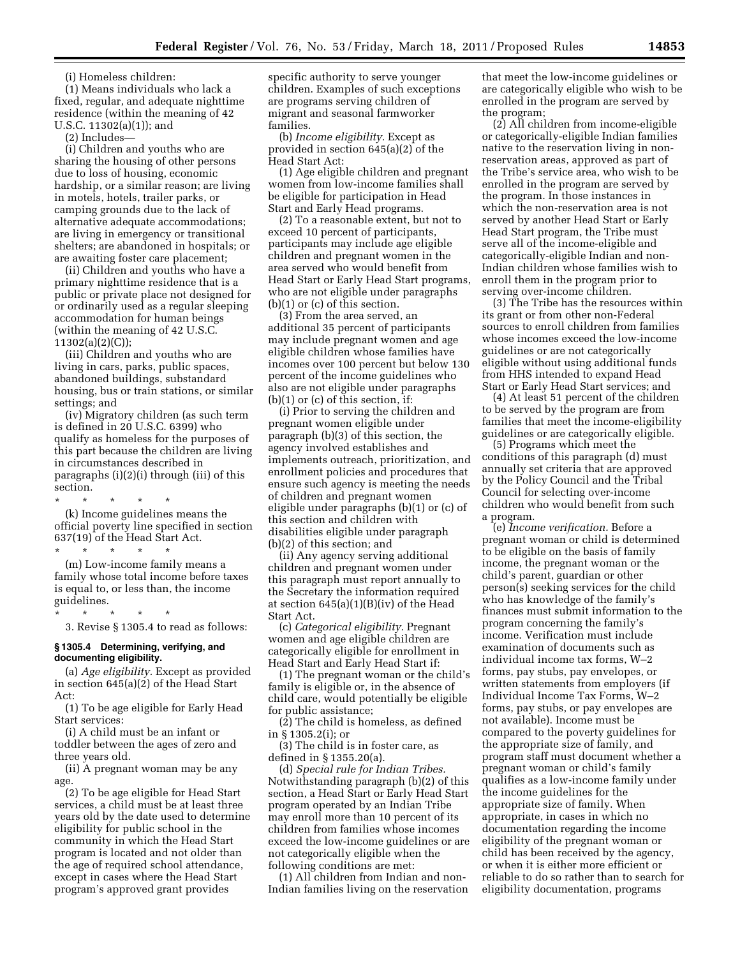(i) Homeless children:

(1) Means individuals who lack a fixed, regular, and adequate nighttime residence (within the meaning of 42 U.S.C. 11302(a)(1)); and

(2) Includes—

(i) Children and youths who are sharing the housing of other persons due to loss of housing, economic hardship, or a similar reason; are living in motels, hotels, trailer parks, or camping grounds due to the lack of alternative adequate accommodations; are living in emergency or transitional shelters; are abandoned in hospitals; or are awaiting foster care placement;

(ii) Children and youths who have a primary nighttime residence that is a public or private place not designed for or ordinarily used as a regular sleeping accommodation for human beings (within the meaning of 42 U.S.C. 11302(a)(2)(C));

(iii) Children and youths who are living in cars, parks, public spaces, abandoned buildings, substandard housing, bus or train stations, or similar settings; and

(iv) Migratory children (as such term is defined in 20 U.S.C. 6399) who qualify as homeless for the purposes of this part because the children are living in circumstances described in paragraphs (i)(2)(i) through (iii) of this section.

\* \* \* \* \* (k) Income guidelines means the official poverty line specified in section 637(19) of the Head Start Act.

\* \* \* \* \* (m) Low-income family means a family whose total income before taxes is equal to, or less than, the income guidelines.

\* \* \* \* \* 3. Revise § 1305.4 to read as follows:

## **§ 1305.4 Determining, verifying, and documenting eligibility.**

(a) *Age eligibility.* Except as provided in section 645(a)(2) of the Head Start Act:

(1) To be age eligible for Early Head Start services:

(i) A child must be an infant or toddler between the ages of zero and three years old.

(ii) A pregnant woman may be any age.

(2) To be age eligible for Head Start services, a child must be at least three years old by the date used to determine eligibility for public school in the community in which the Head Start program is located and not older than the age of required school attendance, except in cases where the Head Start program's approved grant provides

specific authority to serve younger children. Examples of such exceptions are programs serving children of migrant and seasonal farmworker families.

(b) *Income eligibility.* Except as provided in section 645(a)(2) of the Head Start Act:

(1) Age eligible children and pregnant women from low-income families shall be eligible for participation in Head Start and Early Head programs.

(2) To a reasonable extent, but not to exceed 10 percent of participants, participants may include age eligible children and pregnant women in the area served who would benefit from Head Start or Early Head Start programs, who are not eligible under paragraphs (b)(1) or (c) of this section.

(3) From the area served, an additional 35 percent of participants may include pregnant women and age eligible children whose families have incomes over 100 percent but below 130 percent of the income guidelines who also are not eligible under paragraphs (b)(1) or (c) of this section, if:

(i) Prior to serving the children and pregnant women eligible under paragraph (b)(3) of this section, the agency involved establishes and implements outreach, prioritization, and enrollment policies and procedures that ensure such agency is meeting the needs of children and pregnant women eligible under paragraphs (b)(1) or (c) of this section and children with disabilities eligible under paragraph (b)(2) of this section; and

(ii) Any agency serving additional children and pregnant women under this paragraph must report annually to the Secretary the information required at section 645(a)(1)(B)(iv) of the Head Start Act.

(c) *Categorical eligibility.* Pregnant women and age eligible children are categorically eligible for enrollment in Head Start and Early Head Start if:

(1) The pregnant woman or the child's family is eligible or, in the absence of child care, would potentially be eligible for public assistance;

(2) The child is homeless, as defined in § 1305.2(i); or

(3) The child is in foster care, as defined in § 1355.20(a).

(d) *Special rule for Indian Tribes.*  Notwithstanding paragraph (b)(2) of this section, a Head Start or Early Head Start program operated by an Indian Tribe may enroll more than 10 percent of its children from families whose incomes exceed the low-income guidelines or are not categorically eligible when the following conditions are met:

(1) All children from Indian and non-Indian families living on the reservation that meet the low-income guidelines or are categorically eligible who wish to be enrolled in the program are served by the program;

(2) All children from income-eligible or categorically-eligible Indian families native to the reservation living in nonreservation areas, approved as part of the Tribe's service area, who wish to be enrolled in the program are served by the program. In those instances in which the non-reservation area is not served by another Head Start or Early Head Start program, the Tribe must serve all of the income-eligible and categorically-eligible Indian and non-Indian children whose families wish to enroll them in the program prior to serving over-income children.

(3) The Tribe has the resources within its grant or from other non-Federal sources to enroll children from families whose incomes exceed the low-income guidelines or are not categorically eligible without using additional funds from HHS intended to expand Head Start or Early Head Start services; and

(4) At least 51 percent of the children to be served by the program are from families that meet the income-eligibility guidelines or are categorically eligible.

(5) Programs which meet the conditions of this paragraph (d) must annually set criteria that are approved by the Policy Council and the Tribal Council for selecting over-income children who would benefit from such a program.

(e) *Income verification.* Before a pregnant woman or child is determined to be eligible on the basis of family income, the pregnant woman or the child's parent, guardian or other person(s) seeking services for the child who has knowledge of the family's finances must submit information to the program concerning the family's income. Verification must include examination of documents such as individual income tax forms, W–2 forms, pay stubs, pay envelopes, or written statements from employers (if Individual Income Tax Forms, W–2 forms, pay stubs, or pay envelopes are not available). Income must be compared to the poverty guidelines for the appropriate size of family, and program staff must document whether a pregnant woman or child's family qualifies as a low-income family under the income guidelines for the appropriate size of family. When appropriate, in cases in which no documentation regarding the income eligibility of the pregnant woman or child has been received by the agency, or when it is either more efficient or reliable to do so rather than to search for eligibility documentation, programs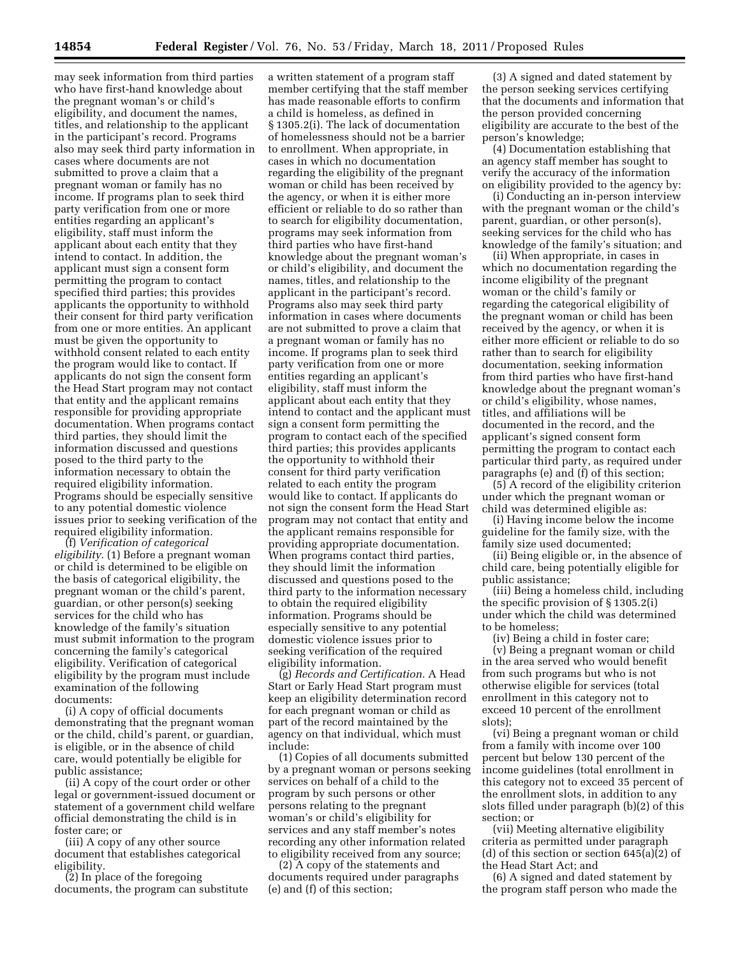may seek information from third parties who have first-hand knowledge about the pregnant woman's or child's eligibility, and document the names, titles, and relationship to the applicant in the participant's record. Programs also may seek third party information in cases where documents are not submitted to prove a claim that a pregnant woman or family has no income. If programs plan to seek third party verification from one or more entities regarding an applicant's eligibility, staff must inform the applicant about each entity that they intend to contact. In addition, the applicant must sign a consent form permitting the program to contact specified third parties; this provides applicants the opportunity to withhold their consent for third party verification from one or more entities. An applicant must be given the opportunity to withhold consent related to each entity the program would like to contact. If applicants do not sign the consent form the Head Start program may not contact that entity and the applicant remains responsible for providing appropriate documentation. When programs contact third parties, they should limit the information discussed and questions posed to the third party to the information necessary to obtain the required eligibility information. Programs should be especially sensitive to any potential domestic violence issues prior to seeking verification of the required eligibility information.

(f) *Verification of categorical eligibility.* (1) Before a pregnant woman or child is determined to be eligible on the basis of categorical eligibility, the pregnant woman or the child's parent, guardian, or other person(s) seeking services for the child who has knowledge of the family's situation must submit information to the program concerning the family's categorical eligibility. Verification of categorical eligibility by the program must include examination of the following documents:

(i) A copy of official documents demonstrating that the pregnant woman or the child, child's parent, or guardian, is eligible, or in the absence of child care, would potentially be eligible for public assistance;

(ii) A copy of the court order or other legal or government-issued document or statement of a government child welfare official demonstrating the child is in foster care; or

(iii) A copy of any other source document that establishes categorical eligibility.

(2) In place of the foregoing documents, the program can substitute a written statement of a program staff member certifying that the staff member has made reasonable efforts to confirm a child is homeless, as defined in § 1305.2(i). The lack of documentation of homelessness should not be a barrier to enrollment. When appropriate, in cases in which no documentation regarding the eligibility of the pregnant woman or child has been received by the agency, or when it is either more efficient or reliable to do so rather than to search for eligibility documentation, programs may seek information from third parties who have first-hand knowledge about the pregnant woman's or child's eligibility, and document the names, titles, and relationship to the applicant in the participant's record. Programs also may seek third party information in cases where documents are not submitted to prove a claim that a pregnant woman or family has no income. If programs plan to seek third party verification from one or more entities regarding an applicant's eligibility, staff must inform the applicant about each entity that they intend to contact and the applicant must sign a consent form permitting the program to contact each of the specified third parties; this provides applicants the opportunity to withhold their consent for third party verification related to each entity the program would like to contact. If applicants do not sign the consent form the Head Start program may not contact that entity and the applicant remains responsible for providing appropriate documentation. When programs contact third parties, they should limit the information discussed and questions posed to the third party to the information necessary to obtain the required eligibility information. Programs should be especially sensitive to any potential domestic violence issues prior to seeking verification of the required eligibility information.

(g) *Records and Certification.* A Head Start or Early Head Start program must keep an eligibility determination record for each pregnant woman or child as part of the record maintained by the agency on that individual, which must include:

(1) Copies of all documents submitted by a pregnant woman or persons seeking services on behalf of a child to the program by such persons or other persons relating to the pregnant woman's or child's eligibility for services and any staff member's notes recording any other information related to eligibility received from any source;

(2) A copy of the statements and documents required under paragraphs (e) and (f) of this section;

(3) A signed and dated statement by the person seeking services certifying that the documents and information that the person provided concerning eligibility are accurate to the best of the person's knowledge;

(4) Documentation establishing that an agency staff member has sought to verify the accuracy of the information on eligibility provided to the agency by:

(i) Conducting an in-person interview with the pregnant woman or the child's parent, guardian, or other person(s), seeking services for the child who has knowledge of the family's situation; and

(ii) When appropriate, in cases in which no documentation regarding the income eligibility of the pregnant woman or the child's family or regarding the categorical eligibility of the pregnant woman or child has been received by the agency, or when it is either more efficient or reliable to do so rather than to search for eligibility documentation, seeking information from third parties who have first-hand knowledge about the pregnant woman's or child's eligibility, whose names, titles, and affiliations will be documented in the record, and the applicant's signed consent form permitting the program to contact each particular third party, as required under paragraphs (e) and (f) of this section;

(5) A record of the eligibility criterion under which the pregnant woman or child was determined eligible as:

(i) Having income below the income guideline for the family size, with the family size used documented;

(ii) Being eligible or, in the absence of child care, being potentially eligible for public assistance;

(iii) Being a homeless child, including the specific provision of § 1305.2(i) under which the child was determined to be homeless;

(iv) Being a child in foster care;

(v) Being a pregnant woman or child in the area served who would benefit from such programs but who is not otherwise eligible for services (total enrollment in this category not to exceed 10 percent of the enrollment slots);

(vi) Being a pregnant woman or child from a family with income over 100 percent but below 130 percent of the income guidelines (total enrollment in this category not to exceed 35 percent of the enrollment slots, in addition to any slots filled under paragraph (b)(2) of this section; or

(vii) Meeting alternative eligibility criteria as permitted under paragraph (d) of this section or section 645(a)(2) of the Head Start Act; and

(6) A signed and dated statement by the program staff person who made the